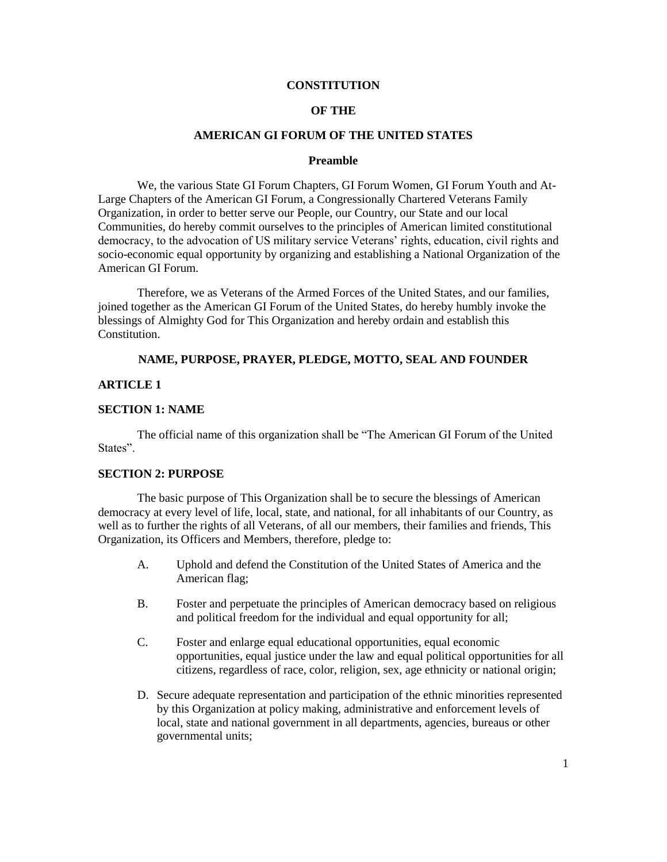#### **CONSTITUTION**

### **OF THE**

#### **AMERICAN GI FORUM OF THE UNITED STATES**

#### **Preamble**

We, the various State GI Forum Chapters, GI Forum Women, GI Forum Youth and At-Large Chapters of the American GI Forum, a Congressionally Chartered Veterans Family Organization, in order to better serve our People, our Country, our State and our local Communities, do hereby commit ourselves to the principles of American limited constitutional democracy, to the advocation of US military service Veterans' rights, education, civil rights and socio-economic equal opportunity by organizing and establishing a National Organization of the American GI Forum.

Therefore, we as Veterans of the Armed Forces of the United States, and our families, joined together as the American GI Forum of the United States, do hereby humbly invoke the blessings of Almighty God for This Organization and hereby ordain and establish this Constitution.

## **NAME, PURPOSE, PRAYER, PLEDGE, MOTTO, SEAL AND FOUNDER**

#### **ARTICLE 1**

### **SECTION 1: NAME**

The official name of this organization shall be "The American GI Forum of the United States".

### **SECTION 2: PURPOSE**

The basic purpose of This Organization shall be to secure the blessings of American democracy at every level of life, local, state, and national, for all inhabitants of our Country, as well as to further the rights of all Veterans, of all our members, their families and friends, This Organization, its Officers and Members, therefore, pledge to:

- A. Uphold and defend the Constitution of the United States of America and the American flag;
- B. Foster and perpetuate the principles of American democracy based on religious and political freedom for the individual and equal opportunity for all;
- C. Foster and enlarge equal educational opportunities, equal economic opportunities, equal justice under the law and equal political opportunities for all citizens, regardless of race, color, religion, sex, age ethnicity or national origin;
- D. Secure adequate representation and participation of the ethnic minorities represented by this Organization at policy making, administrative and enforcement levels of local, state and national government in all departments, agencies, bureaus or other governmental units;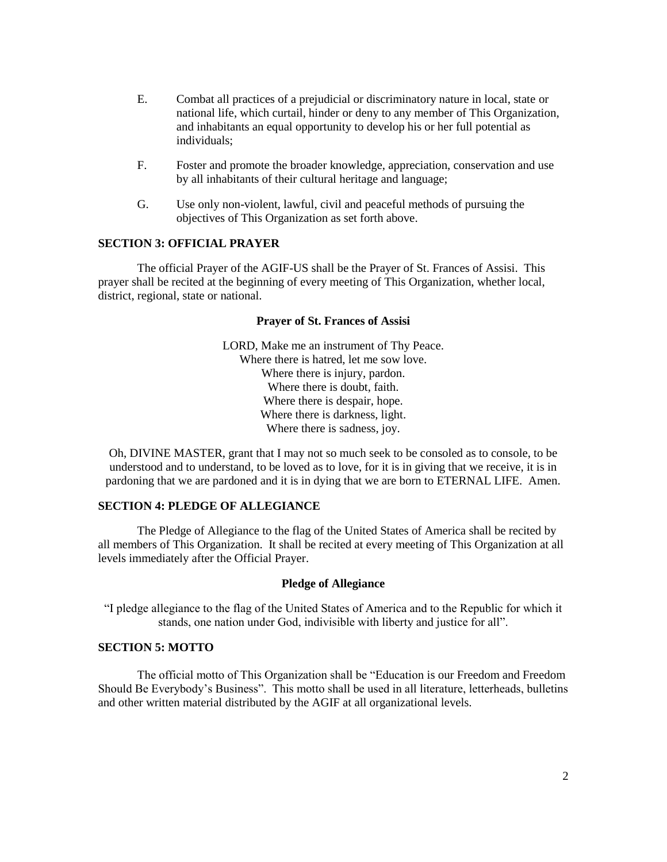- E. Combat all practices of a prejudicial or discriminatory nature in local, state or national life, which curtail, hinder or deny to any member of This Organization, and inhabitants an equal opportunity to develop his or her full potential as individuals;
- F. Foster and promote the broader knowledge, appreciation, conservation and use by all inhabitants of their cultural heritage and language;
- G. Use only non-violent, lawful, civil and peaceful methods of pursuing the objectives of This Organization as set forth above.

## **SECTION 3: OFFICIAL PRAYER**

The official Prayer of the AGIF-US shall be the Prayer of St. Frances of Assisi. This prayer shall be recited at the beginning of every meeting of This Organization, whether local, district, regional, state or national.

#### **Prayer of St. Frances of Assisi**

LORD, Make me an instrument of Thy Peace. Where there is hatred, let me sow love. Where there is injury, pardon. Where there is doubt, faith. Where there is despair, hope. Where there is darkness, light. Where there is sadness, joy.

Oh, DIVINE MASTER, grant that I may not so much seek to be consoled as to console, to be understood and to understand, to be loved as to love, for it is in giving that we receive, it is in pardoning that we are pardoned and it is in dying that we are born to ETERNAL LIFE. Amen.

### **SECTION 4: PLEDGE OF ALLEGIANCE**

The Pledge of Allegiance to the flag of the United States of America shall be recited by all members of This Organization. It shall be recited at every meeting of This Organization at all levels immediately after the Official Prayer.

### **Pledge of Allegiance**

"I pledge allegiance to the flag of the United States of America and to the Republic for which it stands, one nation under God, indivisible with liberty and justice for all".

## **SECTION 5: MOTTO**

The official motto of This Organization shall be "Education is our Freedom and Freedom Should Be Everybody's Business". This motto shall be used in all literature, letterheads, bulletins and other written material distributed by the AGIF at all organizational levels.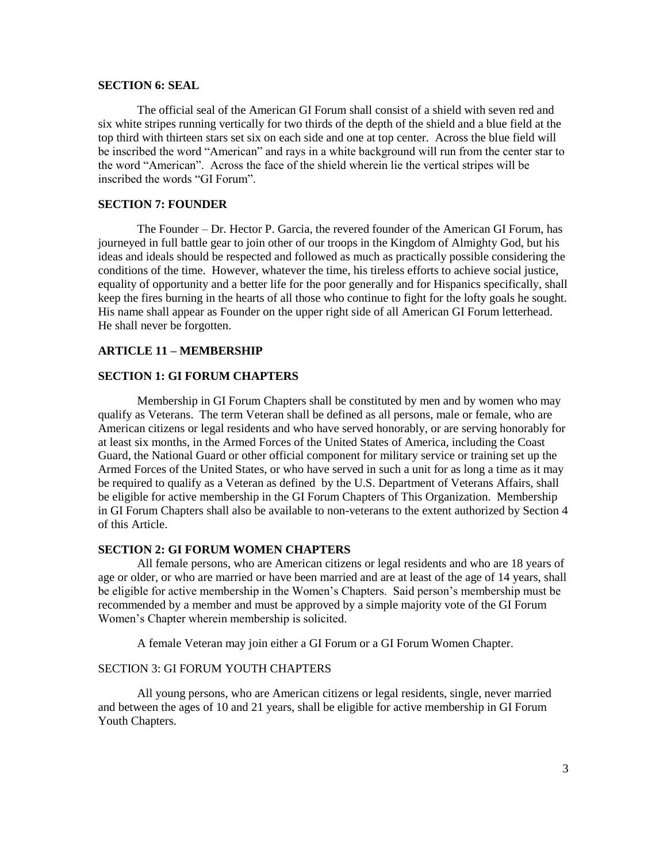#### **SECTION 6: SEAL**

The official seal of the American GI Forum shall consist of a shield with seven red and six white stripes running vertically for two thirds of the depth of the shield and a blue field at the top third with thirteen stars set six on each side and one at top center. Across the blue field will be inscribed the word "American" and rays in a white background will run from the center star to the word "American". Across the face of the shield wherein lie the vertical stripes will be inscribed the words "GI Forum".

## **SECTION 7: FOUNDER**

The Founder – Dr. Hector P. Garcia, the revered founder of the American GI Forum, has journeyed in full battle gear to join other of our troops in the Kingdom of Almighty God, but his ideas and ideals should be respected and followed as much as practically possible considering the conditions of the time. However, whatever the time, his tireless efforts to achieve social justice, equality of opportunity and a better life for the poor generally and for Hispanics specifically, shall keep the fires burning in the hearts of all those who continue to fight for the lofty goals he sought. His name shall appear as Founder on the upper right side of all American GI Forum letterhead. He shall never be forgotten.

#### **ARTICLE 11 – MEMBERSHIP**

#### **SECTION 1: GI FORUM CHAPTERS**

Membership in GI Forum Chapters shall be constituted by men and by women who may qualify as Veterans. The term Veteran shall be defined as all persons, male or female, who are American citizens or legal residents and who have served honorably, or are serving honorably for at least six months, in the Armed Forces of the United States of America, including the Coast Guard, the National Guard or other official component for military service or training set up the Armed Forces of the United States, or who have served in such a unit for as long a time as it may be required to qualify as a Veteran as defined by the U.S. Department of Veterans Affairs, shall be eligible for active membership in the GI Forum Chapters of This Organization. Membership in GI Forum Chapters shall also be available to non-veterans to the extent authorized by Section 4 of this Article.

### **SECTION 2: GI FORUM WOMEN CHAPTERS**

All female persons, who are American citizens or legal residents and who are 18 years of age or older, or who are married or have been married and are at least of the age of 14 years, shall be eligible for active membership in the Women's Chapters. Said person's membership must be recommended by a member and must be approved by a simple majority vote of the GI Forum Women's Chapter wherein membership is solicited.

A female Veteran may join either a GI Forum or a GI Forum Women Chapter.

### SECTION 3: GI FORUM YOUTH CHAPTERS

All young persons, who are American citizens or legal residents, single, never married and between the ages of 10 and 21 years, shall be eligible for active membership in GI Forum Youth Chapters.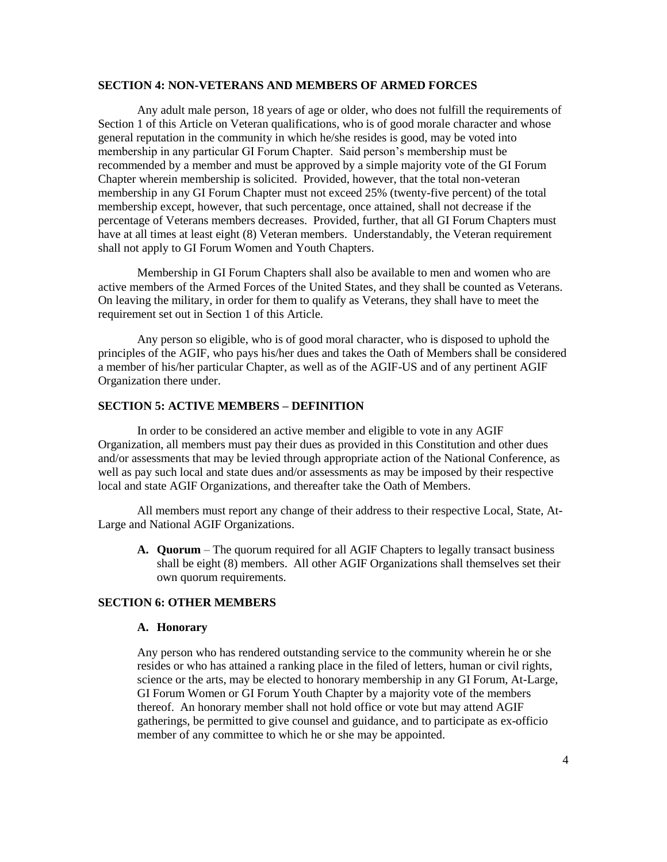### **SECTION 4: NON-VETERANS AND MEMBERS OF ARMED FORCES**

Any adult male person, 18 years of age or older, who does not fulfill the requirements of Section 1 of this Article on Veteran qualifications, who is of good morale character and whose general reputation in the community in which he/she resides is good, may be voted into membership in any particular GI Forum Chapter. Said person's membership must be recommended by a member and must be approved by a simple majority vote of the GI Forum Chapter wherein membership is solicited. Provided, however, that the total non-veteran membership in any GI Forum Chapter must not exceed 25% (twenty-five percent) of the total membership except, however, that such percentage, once attained, shall not decrease if the percentage of Veterans members decreases. Provided, further, that all GI Forum Chapters must have at all times at least eight (8) Veteran members. Understandably, the Veteran requirement shall not apply to GI Forum Women and Youth Chapters.

Membership in GI Forum Chapters shall also be available to men and women who are active members of the Armed Forces of the United States, and they shall be counted as Veterans. On leaving the military, in order for them to qualify as Veterans, they shall have to meet the requirement set out in Section 1 of this Article.

Any person so eligible, who is of good moral character, who is disposed to uphold the principles of the AGIF, who pays his/her dues and takes the Oath of Members shall be considered a member of his/her particular Chapter, as well as of the AGIF-US and of any pertinent AGIF Organization there under.

#### **SECTION 5: ACTIVE MEMBERS – DEFINITION**

In order to be considered an active member and eligible to vote in any AGIF Organization, all members must pay their dues as provided in this Constitution and other dues and/or assessments that may be levied through appropriate action of the National Conference, as well as pay such local and state dues and/or assessments as may be imposed by their respective local and state AGIF Organizations, and thereafter take the Oath of Members.

All members must report any change of their address to their respective Local, State, At-Large and National AGIF Organizations.

**A. Quorum** – The quorum required for all AGIF Chapters to legally transact business shall be eight (8) members. All other AGIF Organizations shall themselves set their own quorum requirements.

## **SECTION 6: OTHER MEMBERS**

#### **A. Honorary**

Any person who has rendered outstanding service to the community wherein he or she resides or who has attained a ranking place in the filed of letters, human or civil rights, science or the arts, may be elected to honorary membership in any GI Forum, At-Large, GI Forum Women or GI Forum Youth Chapter by a majority vote of the members thereof. An honorary member shall not hold office or vote but may attend AGIF gatherings, be permitted to give counsel and guidance, and to participate as ex-officio member of any committee to which he or she may be appointed.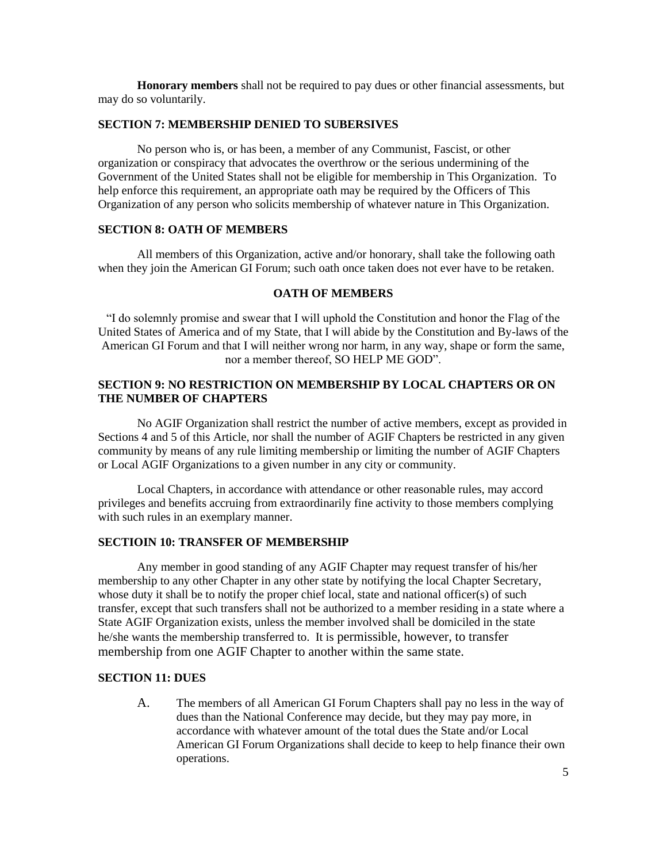**Honorary members** shall not be required to pay dues or other financial assessments, but may do so voluntarily.

#### **SECTION 7: MEMBERSHIP DENIED TO SUBERSIVES**

No person who is, or has been, a member of any Communist, Fascist, or other organization or conspiracy that advocates the overthrow or the serious undermining of the Government of the United States shall not be eligible for membership in This Organization. To help enforce this requirement, an appropriate oath may be required by the Officers of This Organization of any person who solicits membership of whatever nature in This Organization.

### **SECTION 8: OATH OF MEMBERS**

All members of this Organization, active and/or honorary, shall take the following oath when they join the American GI Forum; such oath once taken does not ever have to be retaken.

### **OATH OF MEMBERS**

"I do solemnly promise and swear that I will uphold the Constitution and honor the Flag of the United States of America and of my State, that I will abide by the Constitution and By-laws of the American GI Forum and that I will neither wrong nor harm, in any way, shape or form the same, nor a member thereof, SO HELP ME GOD".

# **SECTION 9: NO RESTRICTION ON MEMBERSHIP BY LOCAL CHAPTERS OR ON THE NUMBER OF CHAPTERS**

No AGIF Organization shall restrict the number of active members, except as provided in Sections 4 and 5 of this Article, nor shall the number of AGIF Chapters be restricted in any given community by means of any rule limiting membership or limiting the number of AGIF Chapters or Local AGIF Organizations to a given number in any city or community.

Local Chapters, in accordance with attendance or other reasonable rules, may accord privileges and benefits accruing from extraordinarily fine activity to those members complying with such rules in an exemplary manner.

# **SECTIOIN 10: TRANSFER OF MEMBERSHIP**

Any member in good standing of any AGIF Chapter may request transfer of his/her membership to any other Chapter in any other state by notifying the local Chapter Secretary, whose duty it shall be to notify the proper chief local, state and national officer(s) of such transfer, except that such transfers shall not be authorized to a member residing in a state where a State AGIF Organization exists, unless the member involved shall be domiciled in the state he/she wants the membership transferred to. It is permissible, however, to transfer membership from one AGIF Chapter to another within the same state.

### **SECTION 11: DUES**

A. The members of all American GI Forum Chapters shall pay no less in the way of dues than the National Conference may decide, but they may pay more, in accordance with whatever amount of the total dues the State and/or Local American GI Forum Organizations shall decide to keep to help finance their own operations.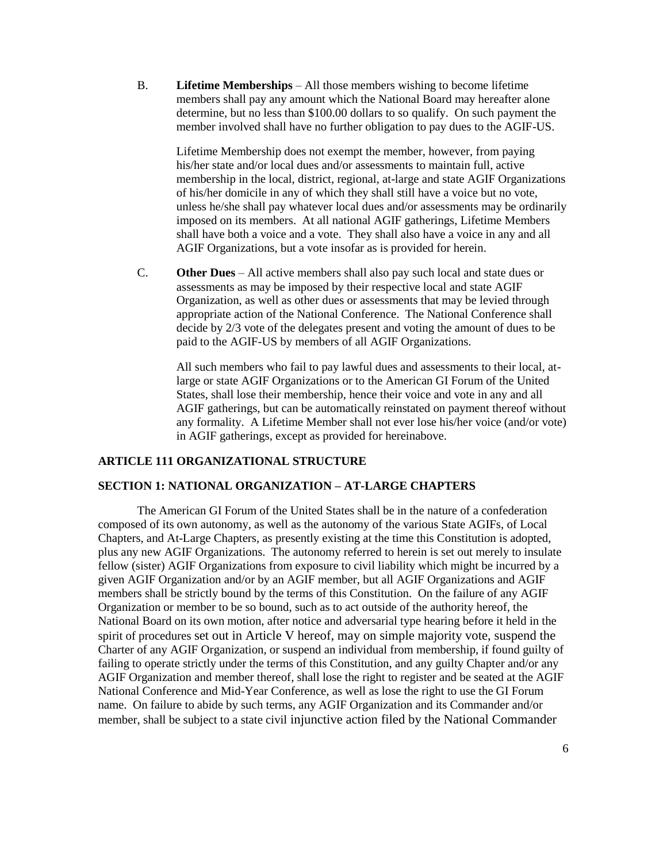B. **Lifetime Memberships** – All those members wishing to become lifetime members shall pay any amount which the National Board may hereafter alone determine, but no less than \$100.00 dollars to so qualify. On such payment the member involved shall have no further obligation to pay dues to the AGIF-US.

Lifetime Membership does not exempt the member, however, from paying his/her state and/or local dues and/or assessments to maintain full, active membership in the local, district, regional, at-large and state AGIF Organizations of his/her domicile in any of which they shall still have a voice but no vote, unless he/she shall pay whatever local dues and/or assessments may be ordinarily imposed on its members. At all national AGIF gatherings, Lifetime Members shall have both a voice and a vote. They shall also have a voice in any and all AGIF Organizations, but a vote insofar as is provided for herein.

C. **Other Dues** – All active members shall also pay such local and state dues or assessments as may be imposed by their respective local and state AGIF Organization, as well as other dues or assessments that may be levied through appropriate action of the National Conference. The National Conference shall decide by 2/3 vote of the delegates present and voting the amount of dues to be paid to the AGIF-US by members of all AGIF Organizations.

All such members who fail to pay lawful dues and assessments to their local, atlarge or state AGIF Organizations or to the American GI Forum of the United States, shall lose their membership, hence their voice and vote in any and all AGIF gatherings, but can be automatically reinstated on payment thereof without any formality. A Lifetime Member shall not ever lose his/her voice (and/or vote) in AGIF gatherings, except as provided for hereinabove.

## **ARTICLE 111 ORGANIZATIONAL STRUCTURE**

# **SECTION 1: NATIONAL ORGANIZATION – AT-LARGE CHAPTERS**

The American GI Forum of the United States shall be in the nature of a confederation composed of its own autonomy, as well as the autonomy of the various State AGIFs, of Local Chapters, and At-Large Chapters, as presently existing at the time this Constitution is adopted, plus any new AGIF Organizations. The autonomy referred to herein is set out merely to insulate fellow (sister) AGIF Organizations from exposure to civil liability which might be incurred by a given AGIF Organization and/or by an AGIF member, but all AGIF Organizations and AGIF members shall be strictly bound by the terms of this Constitution. On the failure of any AGIF Organization or member to be so bound, such as to act outside of the authority hereof, the National Board on its own motion, after notice and adversarial type hearing before it held in the spirit of procedures set out in Article V hereof, may on simple majority vote, suspend the Charter of any AGIF Organization, or suspend an individual from membership, if found guilty of failing to operate strictly under the terms of this Constitution, and any guilty Chapter and/or any AGIF Organization and member thereof, shall lose the right to register and be seated at the AGIF National Conference and Mid-Year Conference, as well as lose the right to use the GI Forum name. On failure to abide by such terms, any AGIF Organization and its Commander and/or member, shall be subject to a state civil injunctive action filed by the National Commander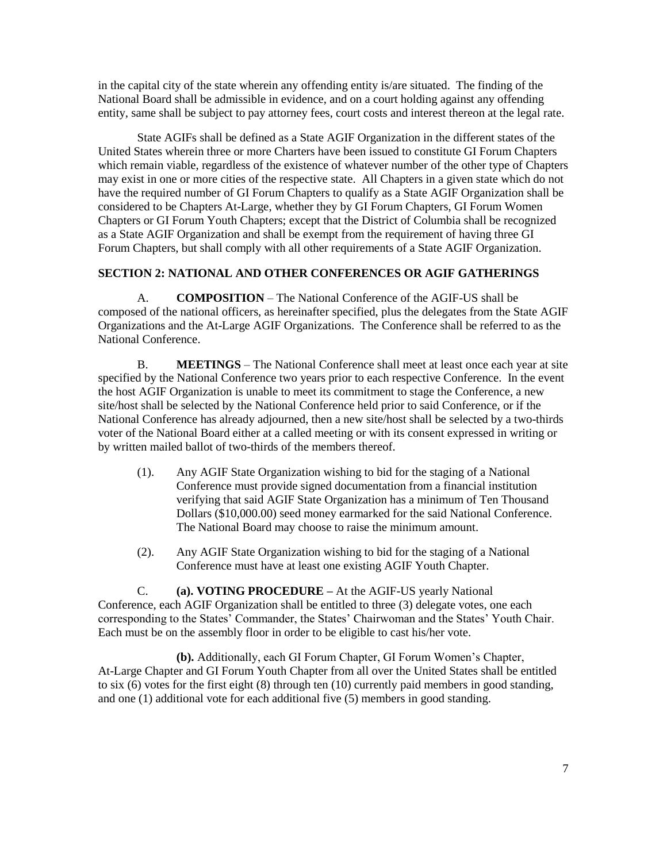in the capital city of the state wherein any offending entity is/are situated. The finding of the National Board shall be admissible in evidence, and on a court holding against any offending entity, same shall be subject to pay attorney fees, court costs and interest thereon at the legal rate.

State AGIFs shall be defined as a State AGIF Organization in the different states of the United States wherein three or more Charters have been issued to constitute GI Forum Chapters which remain viable, regardless of the existence of whatever number of the other type of Chapters may exist in one or more cities of the respective state. All Chapters in a given state which do not have the required number of GI Forum Chapters to qualify as a State AGIF Organization shall be considered to be Chapters At-Large, whether they by GI Forum Chapters, GI Forum Women Chapters or GI Forum Youth Chapters; except that the District of Columbia shall be recognized as a State AGIF Organization and shall be exempt from the requirement of having three GI Forum Chapters, but shall comply with all other requirements of a State AGIF Organization.

## **SECTION 2: NATIONAL AND OTHER CONFERENCES OR AGIF GATHERINGS**

A. **COMPOSITION** – The National Conference of the AGIF-US shall be composed of the national officers, as hereinafter specified, plus the delegates from the State AGIF Organizations and the At-Large AGIF Organizations. The Conference shall be referred to as the National Conference.

B. **MEETINGS** – The National Conference shall meet at least once each year at site specified by the National Conference two years prior to each respective Conference. In the event the host AGIF Organization is unable to meet its commitment to stage the Conference, a new site/host shall be selected by the National Conference held prior to said Conference, or if the National Conference has already adjourned, then a new site/host shall be selected by a two-thirds voter of the National Board either at a called meeting or with its consent expressed in writing or by written mailed ballot of two-thirds of the members thereof.

- (1). Any AGIF State Organization wishing to bid for the staging of a National Conference must provide signed documentation from a financial institution verifying that said AGIF State Organization has a minimum of Ten Thousand Dollars (\$10,000.00) seed money earmarked for the said National Conference. The National Board may choose to raise the minimum amount.
- (2). Any AGIF State Organization wishing to bid for the staging of a National Conference must have at least one existing AGIF Youth Chapter.

C. **(a). VOTING PROCEDURE –** At the AGIF-US yearly National Conference, each AGIF Organization shall be entitled to three (3) delegate votes, one each corresponding to the States' Commander, the States' Chairwoman and the States' Youth Chair. Each must be on the assembly floor in order to be eligible to cast his/her vote.

**(b).** Additionally, each GI Forum Chapter, GI Forum Women's Chapter, At-Large Chapter and GI Forum Youth Chapter from all over the United States shall be entitled to six (6) votes for the first eight (8) through ten (10) currently paid members in good standing, and one (1) additional vote for each additional five (5) members in good standing.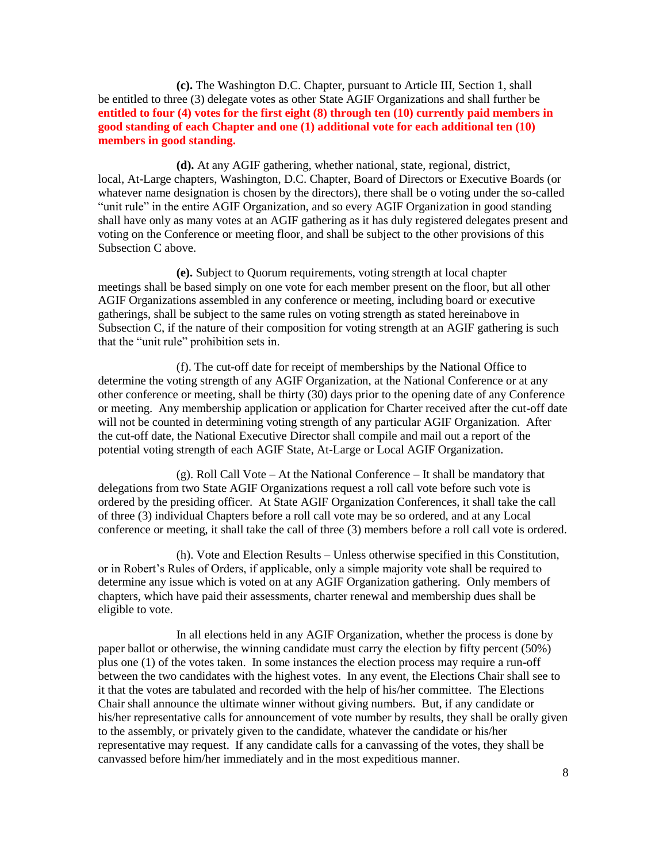**(c).** The Washington D.C. Chapter, pursuant to Article III, Section 1, shall be entitled to three (3) delegate votes as other State AGIF Organizations and shall further be **entitled to four (4) votes for the first eight (8) through ten (10) currently paid members in good standing of each Chapter and one (1) additional vote for each additional ten (10) members in good standing.**

**(d).** At any AGIF gathering, whether national, state, regional, district, local, At-Large chapters, Washington, D.C. Chapter, Board of Directors or Executive Boards (or whatever name designation is chosen by the directors), there shall be o voting under the so-called "unit rule" in the entire AGIF Organization, and so every AGIF Organization in good standing shall have only as many votes at an AGIF gathering as it has duly registered delegates present and voting on the Conference or meeting floor, and shall be subject to the other provisions of this Subsection C above.

**(e).** Subject to Quorum requirements, voting strength at local chapter meetings shall be based simply on one vote for each member present on the floor, but all other AGIF Organizations assembled in any conference or meeting, including board or executive gatherings, shall be subject to the same rules on voting strength as stated hereinabove in Subsection C, if the nature of their composition for voting strength at an AGIF gathering is such that the "unit rule" prohibition sets in.

(f). The cut-off date for receipt of memberships by the National Office to determine the voting strength of any AGIF Organization, at the National Conference or at any other conference or meeting, shall be thirty (30) days prior to the opening date of any Conference or meeting. Any membership application or application for Charter received after the cut-off date will not be counted in determining voting strength of any particular AGIF Organization. After the cut-off date, the National Executive Director shall compile and mail out a report of the potential voting strength of each AGIF State, At-Large or Local AGIF Organization.

(g). Roll Call Vote – At the National Conference – It shall be mandatory that delegations from two State AGIF Organizations request a roll call vote before such vote is ordered by the presiding officer. At State AGIF Organization Conferences, it shall take the call of three (3) individual Chapters before a roll call vote may be so ordered, and at any Local conference or meeting, it shall take the call of three (3) members before a roll call vote is ordered.

(h). Vote and Election Results – Unless otherwise specified in this Constitution, or in Robert's Rules of Orders, if applicable, only a simple majority vote shall be required to determine any issue which is voted on at any AGIF Organization gathering. Only members of chapters, which have paid their assessments, charter renewal and membership dues shall be eligible to vote.

In all elections held in any AGIF Organization, whether the process is done by paper ballot or otherwise, the winning candidate must carry the election by fifty percent (50%) plus one (1) of the votes taken. In some instances the election process may require a run-off between the two candidates with the highest votes. In any event, the Elections Chair shall see to it that the votes are tabulated and recorded with the help of his/her committee. The Elections Chair shall announce the ultimate winner without giving numbers. But, if any candidate or his/her representative calls for announcement of vote number by results, they shall be orally given to the assembly, or privately given to the candidate, whatever the candidate or his/her representative may request. If any candidate calls for a canvassing of the votes, they shall be canvassed before him/her immediately and in the most expeditious manner.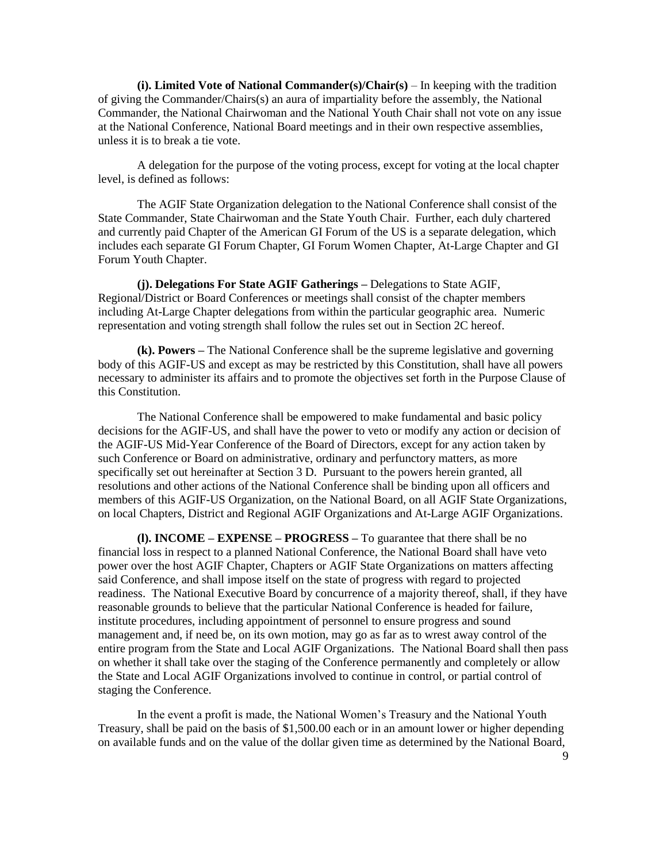**(i). Limited Vote of National Commander(s)/Chair(s)** – In keeping with the tradition of giving the Commander/Chairs(s) an aura of impartiality before the assembly, the National Commander, the National Chairwoman and the National Youth Chair shall not vote on any issue at the National Conference, National Board meetings and in their own respective assemblies, unless it is to break a tie vote.

A delegation for the purpose of the voting process, except for voting at the local chapter level, is defined as follows:

The AGIF State Organization delegation to the National Conference shall consist of the State Commander, State Chairwoman and the State Youth Chair. Further, each duly chartered and currently paid Chapter of the American GI Forum of the US is a separate delegation, which includes each separate GI Forum Chapter, GI Forum Women Chapter, At-Large Chapter and GI Forum Youth Chapter.

**(j). Delegations For State AGIF Gatherings –** Delegations to State AGIF, Regional/District or Board Conferences or meetings shall consist of the chapter members including At-Large Chapter delegations from within the particular geographic area. Numeric representation and voting strength shall follow the rules set out in Section 2C hereof.

**(k). Powers –** The National Conference shall be the supreme legislative and governing body of this AGIF-US and except as may be restricted by this Constitution, shall have all powers necessary to administer its affairs and to promote the objectives set forth in the Purpose Clause of this Constitution.

The National Conference shall be empowered to make fundamental and basic policy decisions for the AGIF-US, and shall have the power to veto or modify any action or decision of the AGIF-US Mid-Year Conference of the Board of Directors, except for any action taken by such Conference or Board on administrative, ordinary and perfunctory matters, as more specifically set out hereinafter at Section 3 D. Pursuant to the powers herein granted, all resolutions and other actions of the National Conference shall be binding upon all officers and members of this AGIF-US Organization, on the National Board, on all AGIF State Organizations, on local Chapters, District and Regional AGIF Organizations and At-Large AGIF Organizations.

**(l). INCOME – EXPENSE – PROGRESS –** To guarantee that there shall be no financial loss in respect to a planned National Conference, the National Board shall have veto power over the host AGIF Chapter, Chapters or AGIF State Organizations on matters affecting said Conference, and shall impose itself on the state of progress with regard to projected readiness. The National Executive Board by concurrence of a majority thereof, shall, if they have reasonable grounds to believe that the particular National Conference is headed for failure, institute procedures, including appointment of personnel to ensure progress and sound management and, if need be, on its own motion, may go as far as to wrest away control of the entire program from the State and Local AGIF Organizations. The National Board shall then pass on whether it shall take over the staging of the Conference permanently and completely or allow the State and Local AGIF Organizations involved to continue in control, or partial control of staging the Conference.

In the event a profit is made, the National Women's Treasury and the National Youth Treasury, shall be paid on the basis of \$1,500.00 each or in an amount lower or higher depending on available funds and on the value of the dollar given time as determined by the National Board,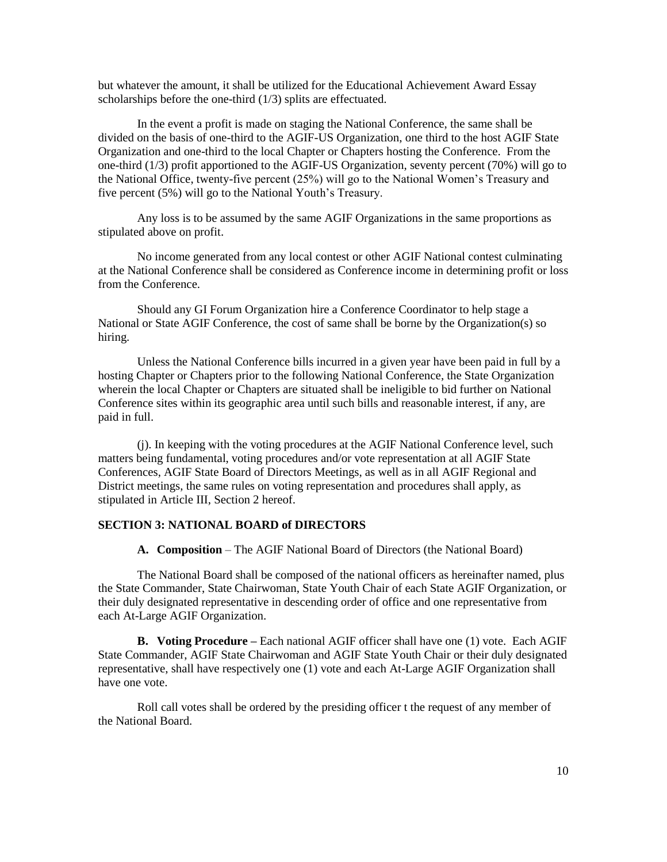but whatever the amount, it shall be utilized for the Educational Achievement Award Essay scholarships before the one-third (1/3) splits are effectuated.

In the event a profit is made on staging the National Conference, the same shall be divided on the basis of one-third to the AGIF-US Organization, one third to the host AGIF State Organization and one-third to the local Chapter or Chapters hosting the Conference. From the one-third (1/3) profit apportioned to the AGIF-US Organization, seventy percent (70%) will go to the National Office, twenty-five percent (25%) will go to the National Women's Treasury and five percent (5%) will go to the National Youth's Treasury.

Any loss is to be assumed by the same AGIF Organizations in the same proportions as stipulated above on profit.

No income generated from any local contest or other AGIF National contest culminating at the National Conference shall be considered as Conference income in determining profit or loss from the Conference.

Should any GI Forum Organization hire a Conference Coordinator to help stage a National or State AGIF Conference, the cost of same shall be borne by the Organization(s) so hiring.

Unless the National Conference bills incurred in a given year have been paid in full by a hosting Chapter or Chapters prior to the following National Conference, the State Organization wherein the local Chapter or Chapters are situated shall be ineligible to bid further on National Conference sites within its geographic area until such bills and reasonable interest, if any, are paid in full.

(j). In keeping with the voting procedures at the AGIF National Conference level, such matters being fundamental, voting procedures and/or vote representation at all AGIF State Conferences, AGIF State Board of Directors Meetings, as well as in all AGIF Regional and District meetings, the same rules on voting representation and procedures shall apply, as stipulated in Article III, Section 2 hereof.

#### **SECTION 3: NATIONAL BOARD of DIRECTORS**

**A. Composition** – The AGIF National Board of Directors (the National Board)

The National Board shall be composed of the national officers as hereinafter named, plus the State Commander, State Chairwoman, State Youth Chair of each State AGIF Organization, or their duly designated representative in descending order of office and one representative from each At-Large AGIF Organization.

**B. Voting Procedure –** Each national AGIF officer shall have one (1) vote. Each AGIF State Commander, AGIF State Chairwoman and AGIF State Youth Chair or their duly designated representative, shall have respectively one (1) vote and each At-Large AGIF Organization shall have one vote.

Roll call votes shall be ordered by the presiding officer t the request of any member of the National Board.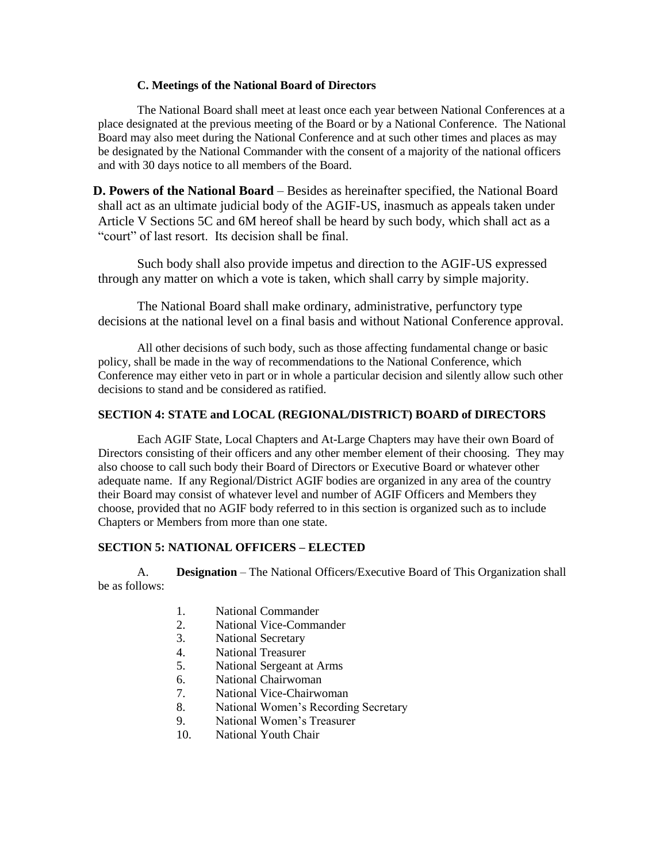## **C. Meetings of the National Board of Directors**

The National Board shall meet at least once each year between National Conferences at a place designated at the previous meeting of the Board or by a National Conference. The National Board may also meet during the National Conference and at such other times and places as may be designated by the National Commander with the consent of a majority of the national officers and with 30 days notice to all members of the Board.

**D. Powers of the National Board** – Besides as hereinafter specified, the National Board shall act as an ultimate judicial body of the AGIF-US, inasmuch as appeals taken under Article V Sections 5C and 6M hereof shall be heard by such body, which shall act as a "court" of last resort. Its decision shall be final.

Such body shall also provide impetus and direction to the AGIF-US expressed through any matter on which a vote is taken, which shall carry by simple majority.

The National Board shall make ordinary, administrative, perfunctory type decisions at the national level on a final basis and without National Conference approval.

All other decisions of such body, such as those affecting fundamental change or basic policy, shall be made in the way of recommendations to the National Conference, which Conference may either veto in part or in whole a particular decision and silently allow such other decisions to stand and be considered as ratified.

## **SECTION 4: STATE and LOCAL (REGIONAL/DISTRICT) BOARD of DIRECTORS**

Each AGIF State, Local Chapters and At-Large Chapters may have their own Board of Directors consisting of their officers and any other member element of their choosing. They may also choose to call such body their Board of Directors or Executive Board or whatever other adequate name. If any Regional/District AGIF bodies are organized in any area of the country their Board may consist of whatever level and number of AGIF Officers and Members they choose, provided that no AGIF body referred to in this section is organized such as to include Chapters or Members from more than one state.

# **SECTION 5: NATIONAL OFFICERS – ELECTED**

A. **Designation** – The National Officers/Executive Board of This Organization shall be as follows:

- 1. National Commander
- 2. National Vice-Commander
- 3. National Secretary
- 4. National Treasurer
- 5. National Sergeant at Arms
- 6. National Chairwoman
- 7. National Vice-Chairwoman
- 8. National Women's Recording Secretary
- 9. National Women's Treasurer
- 10. National Youth Chair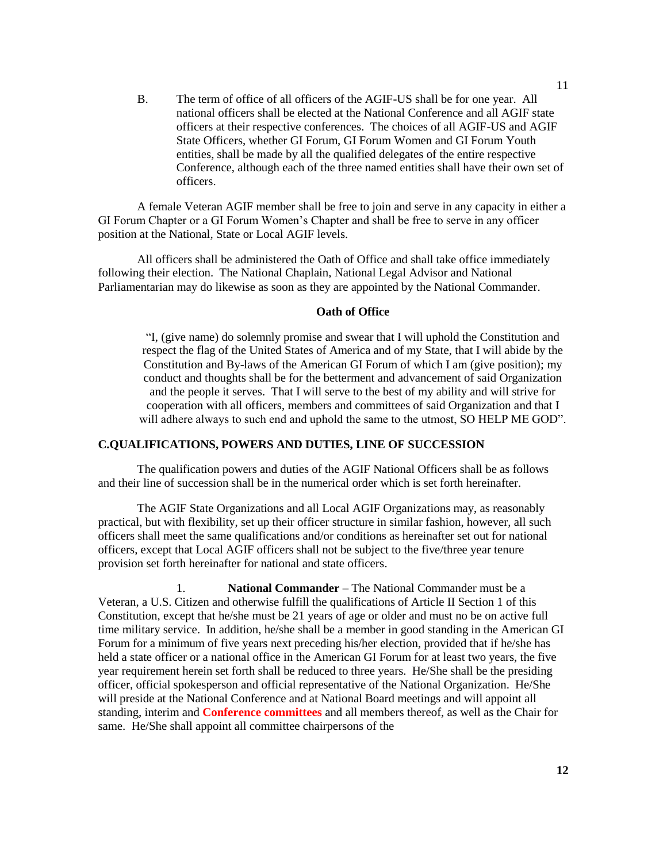B. The term of office of all officers of the AGIF-US shall be for one year. All national officers shall be elected at the National Conference and all AGIF state officers at their respective conferences. The choices of all AGIF-US and AGIF State Officers, whether GI Forum, GI Forum Women and GI Forum Youth entities, shall be made by all the qualified delegates of the entire respective Conference, although each of the three named entities shall have their own set of officers.

A female Veteran AGIF member shall be free to join and serve in any capacity in either a GI Forum Chapter or a GI Forum Women's Chapter and shall be free to serve in any officer position at the National, State or Local AGIF levels.

All officers shall be administered the Oath of Office and shall take office immediately following their election. The National Chaplain, National Legal Advisor and National Parliamentarian may do likewise as soon as they are appointed by the National Commander.

### **Oath of Office**

"I, (give name) do solemnly promise and swear that I will uphold the Constitution and respect the flag of the United States of America and of my State, that I will abide by the Constitution and By-laws of the American GI Forum of which I am (give position); my conduct and thoughts shall be for the betterment and advancement of said Organization and the people it serves. That I will serve to the best of my ability and will strive for cooperation with all officers, members and committees of said Organization and that I will adhere always to such end and uphold the same to the utmost, SO HELP ME GOD".

### **C.QUALIFICATIONS, POWERS AND DUTIES, LINE OF SUCCESSION**

The qualification powers and duties of the AGIF National Officers shall be as follows and their line of succession shall be in the numerical order which is set forth hereinafter.

The AGIF State Organizations and all Local AGIF Organizations may, as reasonably practical, but with flexibility, set up their officer structure in similar fashion, however, all such officers shall meet the same qualifications and/or conditions as hereinafter set out for national officers, except that Local AGIF officers shall not be subject to the five/three year tenure provision set forth hereinafter for national and state officers.

1. **National Commander** – The National Commander must be a Veteran, a U.S. Citizen and otherwise fulfill the qualifications of Article II Section 1 of this Constitution, except that he/she must be 21 years of age or older and must no be on active full time military service. In addition, he/she shall be a member in good standing in the American GI Forum for a minimum of five years next preceding his/her election, provided that if he/she has held a state officer or a national office in the American GI Forum for at least two years, the five year requirement herein set forth shall be reduced to three years. He/She shall be the presiding officer, official spokesperson and official representative of the National Organization. He/She will preside at the National Conference and at National Board meetings and will appoint all standing, interim and **Conference committees** and all members thereof, as well as the Chair for same. He/She shall appoint all committee chairpersons of the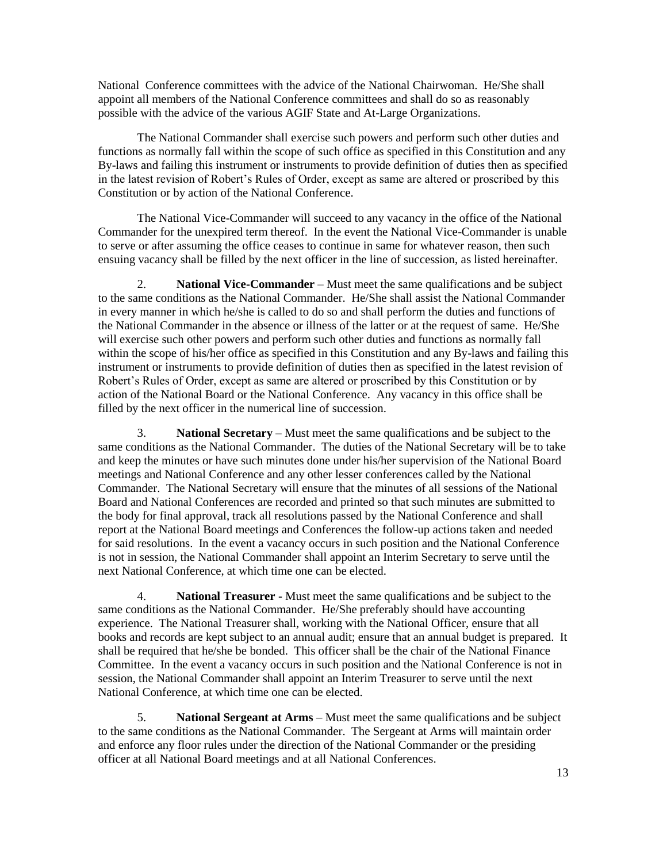National Conference committees with the advice of the National Chairwoman. He/She shall appoint all members of the National Conference committees and shall do so as reasonably possible with the advice of the various AGIF State and At-Large Organizations.

The National Commander shall exercise such powers and perform such other duties and functions as normally fall within the scope of such office as specified in this Constitution and any By-laws and failing this instrument or instruments to provide definition of duties then as specified in the latest revision of Robert's Rules of Order, except as same are altered or proscribed by this Constitution or by action of the National Conference.

The National Vice-Commander will succeed to any vacancy in the office of the National Commander for the unexpired term thereof. In the event the National Vice-Commander is unable to serve or after assuming the office ceases to continue in same for whatever reason, then such ensuing vacancy shall be filled by the next officer in the line of succession, as listed hereinafter.

2. **National Vice-Commander** – Must meet the same qualifications and be subject to the same conditions as the National Commander. He/She shall assist the National Commander in every manner in which he/she is called to do so and shall perform the duties and functions of the National Commander in the absence or illness of the latter or at the request of same. He/She will exercise such other powers and perform such other duties and functions as normally fall within the scope of his/her office as specified in this Constitution and any By-laws and failing this instrument or instruments to provide definition of duties then as specified in the latest revision of Robert's Rules of Order, except as same are altered or proscribed by this Constitution or by action of the National Board or the National Conference. Any vacancy in this office shall be filled by the next officer in the numerical line of succession.

3. **National Secretary** – Must meet the same qualifications and be subject to the same conditions as the National Commander. The duties of the National Secretary will be to take and keep the minutes or have such minutes done under his/her supervision of the National Board meetings and National Conference and any other lesser conferences called by the National Commander. The National Secretary will ensure that the minutes of all sessions of the National Board and National Conferences are recorded and printed so that such minutes are submitted to the body for final approval, track all resolutions passed by the National Conference and shall report at the National Board meetings and Conferences the follow-up actions taken and needed for said resolutions. In the event a vacancy occurs in such position and the National Conference is not in session, the National Commander shall appoint an Interim Secretary to serve until the next National Conference, at which time one can be elected.

4. **National Treasurer** - Must meet the same qualifications and be subject to the same conditions as the National Commander. He/She preferably should have accounting experience. The National Treasurer shall, working with the National Officer, ensure that all books and records are kept subject to an annual audit; ensure that an annual budget is prepared. It shall be required that he/she be bonded. This officer shall be the chair of the National Finance Committee. In the event a vacancy occurs in such position and the National Conference is not in session, the National Commander shall appoint an Interim Treasurer to serve until the next National Conference, at which time one can be elected.

5. **National Sergeant at Arms** – Must meet the same qualifications and be subject to the same conditions as the National Commander. The Sergeant at Arms will maintain order and enforce any floor rules under the direction of the National Commander or the presiding officer at all National Board meetings and at all National Conferences.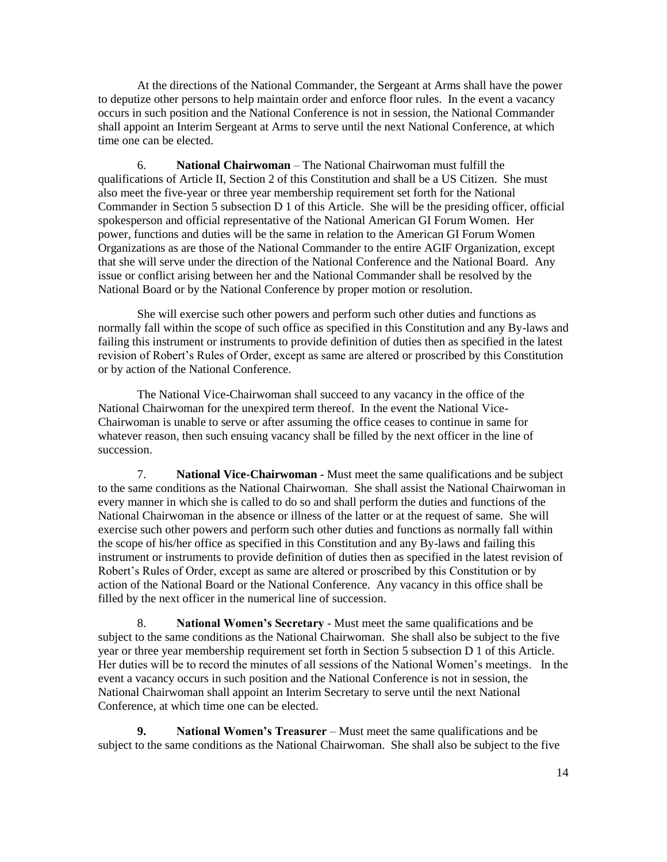At the directions of the National Commander, the Sergeant at Arms shall have the power to deputize other persons to help maintain order and enforce floor rules. In the event a vacancy occurs in such position and the National Conference is not in session, the National Commander shall appoint an Interim Sergeant at Arms to serve until the next National Conference, at which time one can be elected.

6. **National Chairwoman** – The National Chairwoman must fulfill the qualifications of Article II, Section 2 of this Constitution and shall be a US Citizen. She must also meet the five-year or three year membership requirement set forth for the National Commander in Section 5 subsection D 1 of this Article. She will be the presiding officer, official spokesperson and official representative of the National American GI Forum Women. Her power, functions and duties will be the same in relation to the American GI Forum Women Organizations as are those of the National Commander to the entire AGIF Organization, except that she will serve under the direction of the National Conference and the National Board. Any issue or conflict arising between her and the National Commander shall be resolved by the National Board or by the National Conference by proper motion or resolution.

She will exercise such other powers and perform such other duties and functions as normally fall within the scope of such office as specified in this Constitution and any By-laws and failing this instrument or instruments to provide definition of duties then as specified in the latest revision of Robert's Rules of Order, except as same are altered or proscribed by this Constitution or by action of the National Conference.

The National Vice-Chairwoman shall succeed to any vacancy in the office of the National Chairwoman for the unexpired term thereof. In the event the National Vice-Chairwoman is unable to serve or after assuming the office ceases to continue in same for whatever reason, then such ensuing vacancy shall be filled by the next officer in the line of succession.

7. **National Vice-Chairwoman** - Must meet the same qualifications and be subject to the same conditions as the National Chairwoman. She shall assist the National Chairwoman in every manner in which she is called to do so and shall perform the duties and functions of the National Chairwoman in the absence or illness of the latter or at the request of same. She will exercise such other powers and perform such other duties and functions as normally fall within the scope of his/her office as specified in this Constitution and any By-laws and failing this instrument or instruments to provide definition of duties then as specified in the latest revision of Robert's Rules of Order, except as same are altered or proscribed by this Constitution or by action of the National Board or the National Conference. Any vacancy in this office shall be filled by the next officer in the numerical line of succession.

8. **National Women's Secretary** - Must meet the same qualifications and be subject to the same conditions as the National Chairwoman. She shall also be subject to the five year or three year membership requirement set forth in Section 5 subsection D 1 of this Article. Her duties will be to record the minutes of all sessions of the National Women's meetings. In the event a vacancy occurs in such position and the National Conference is not in session, the National Chairwoman shall appoint an Interim Secretary to serve until the next National Conference, at which time one can be elected.

**9. National Women's Treasurer** – Must meet the same qualifications and be subject to the same conditions as the National Chairwoman. She shall also be subject to the five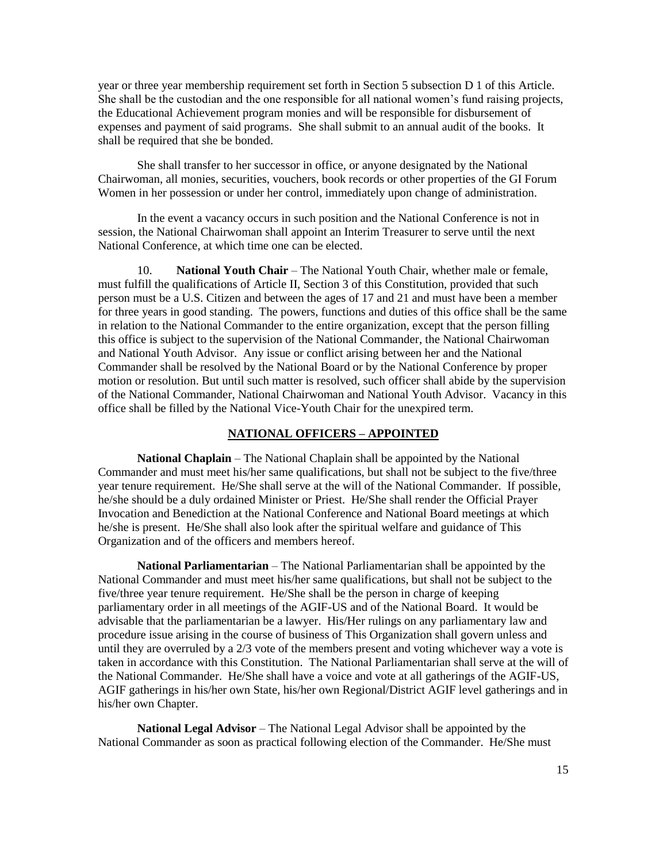year or three year membership requirement set forth in Section 5 subsection D 1 of this Article. She shall be the custodian and the one responsible for all national women's fund raising projects, the Educational Achievement program monies and will be responsible for disbursement of expenses and payment of said programs. She shall submit to an annual audit of the books. It shall be required that she be bonded.

She shall transfer to her successor in office, or anyone designated by the National Chairwoman, all monies, securities, vouchers, book records or other properties of the GI Forum Women in her possession or under her control, immediately upon change of administration.

In the event a vacancy occurs in such position and the National Conference is not in session, the National Chairwoman shall appoint an Interim Treasurer to serve until the next National Conference, at which time one can be elected.

10. **National Youth Chair** – The National Youth Chair, whether male or female, must fulfill the qualifications of Article II, Section 3 of this Constitution, provided that such person must be a U.S. Citizen and between the ages of 17 and 21 and must have been a member for three years in good standing. The powers, functions and duties of this office shall be the same in relation to the National Commander to the entire organization, except that the person filling this office is subject to the supervision of the National Commander, the National Chairwoman and National Youth Advisor. Any issue or conflict arising between her and the National Commander shall be resolved by the National Board or by the National Conference by proper motion or resolution. But until such matter is resolved, such officer shall abide by the supervision of the National Commander, National Chairwoman and National Youth Advisor. Vacancy in this office shall be filled by the National Vice-Youth Chair for the unexpired term.

### **NATIONAL OFFICERS – APPOINTED**

**National Chaplain** – The National Chaplain shall be appointed by the National Commander and must meet his/her same qualifications, but shall not be subject to the five/three year tenure requirement. He/She shall serve at the will of the National Commander. If possible, he/she should be a duly ordained Minister or Priest. He/She shall render the Official Prayer Invocation and Benediction at the National Conference and National Board meetings at which he/she is present. He/She shall also look after the spiritual welfare and guidance of This Organization and of the officers and members hereof.

**National Parliamentarian** – The National Parliamentarian shall be appointed by the National Commander and must meet his/her same qualifications, but shall not be subject to the five/three year tenure requirement. He/She shall be the person in charge of keeping parliamentary order in all meetings of the AGIF-US and of the National Board. It would be advisable that the parliamentarian be a lawyer. His/Her rulings on any parliamentary law and procedure issue arising in the course of business of This Organization shall govern unless and until they are overruled by a  $2/3$  vote of the members present and voting whichever way a vote is taken in accordance with this Constitution. The National Parliamentarian shall serve at the will of the National Commander. He/She shall have a voice and vote at all gatherings of the AGIF-US, AGIF gatherings in his/her own State, his/her own Regional/District AGIF level gatherings and in his/her own Chapter.

**National Legal Advisor** – The National Legal Advisor shall be appointed by the National Commander as soon as practical following election of the Commander. He/She must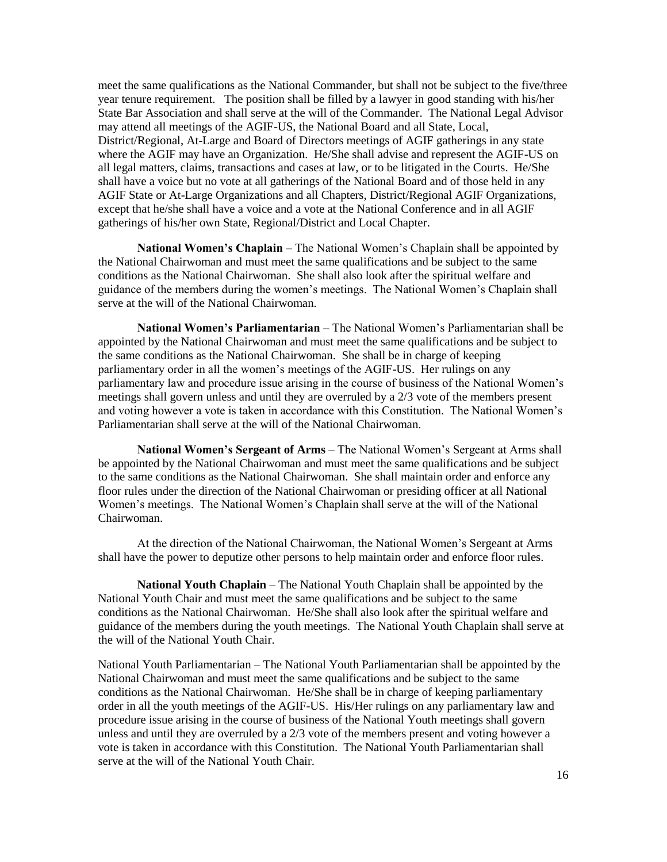meet the same qualifications as the National Commander, but shall not be subject to the five/three year tenure requirement. The position shall be filled by a lawyer in good standing with his/her State Bar Association and shall serve at the will of the Commander. The National Legal Advisor may attend all meetings of the AGIF-US, the National Board and all State, Local, District/Regional, At-Large and Board of Directors meetings of AGIF gatherings in any state where the AGIF may have an Organization. He/She shall advise and represent the AGIF-US on all legal matters, claims, transactions and cases at law, or to be litigated in the Courts. He/She shall have a voice but no vote at all gatherings of the National Board and of those held in any AGIF State or At-Large Organizations and all Chapters, District/Regional AGIF Organizations, except that he/she shall have a voice and a vote at the National Conference and in all AGIF gatherings of his/her own State, Regional/District and Local Chapter.

**National Women's Chaplain** – The National Women's Chaplain shall be appointed by the National Chairwoman and must meet the same qualifications and be subject to the same conditions as the National Chairwoman. She shall also look after the spiritual welfare and guidance of the members during the women's meetings. The National Women's Chaplain shall serve at the will of the National Chairwoman.

**National Women's Parliamentarian** – The National Women's Parliamentarian shall be appointed by the National Chairwoman and must meet the same qualifications and be subject to the same conditions as the National Chairwoman. She shall be in charge of keeping parliamentary order in all the women's meetings of the AGIF-US. Her rulings on any parliamentary law and procedure issue arising in the course of business of the National Women's meetings shall govern unless and until they are overruled by a 2/3 vote of the members present and voting however a vote is taken in accordance with this Constitution. The National Women's Parliamentarian shall serve at the will of the National Chairwoman.

**National Women's Sergeant of Arms** – The National Women's Sergeant at Arms shall be appointed by the National Chairwoman and must meet the same qualifications and be subject to the same conditions as the National Chairwoman. She shall maintain order and enforce any floor rules under the direction of the National Chairwoman or presiding officer at all National Women's meetings. The National Women's Chaplain shall serve at the will of the National Chairwoman.

At the direction of the National Chairwoman, the National Women's Sergeant at Arms shall have the power to deputize other persons to help maintain order and enforce floor rules.

**National Youth Chaplain** – The National Youth Chaplain shall be appointed by the National Youth Chair and must meet the same qualifications and be subject to the same conditions as the National Chairwoman. He/She shall also look after the spiritual welfare and guidance of the members during the youth meetings. The National Youth Chaplain shall serve at the will of the National Youth Chair.

National Youth Parliamentarian – The National Youth Parliamentarian shall be appointed by the National Chairwoman and must meet the same qualifications and be subject to the same conditions as the National Chairwoman. He/She shall be in charge of keeping parliamentary order in all the youth meetings of the AGIF-US. His/Her rulings on any parliamentary law and procedure issue arising in the course of business of the National Youth meetings shall govern unless and until they are overruled by a 2/3 vote of the members present and voting however a vote is taken in accordance with this Constitution. The National Youth Parliamentarian shall serve at the will of the National Youth Chair.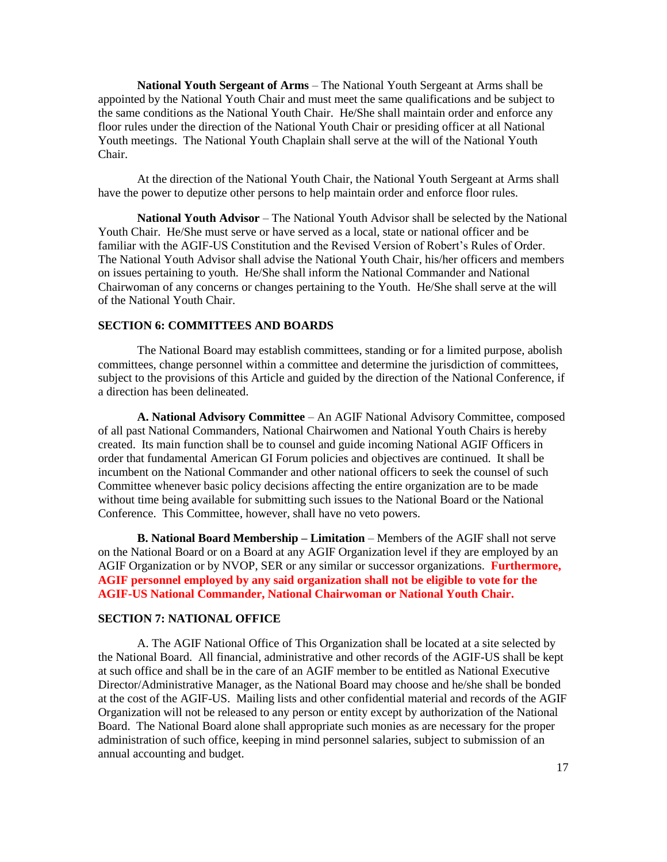**National Youth Sergeant of Arms** – The National Youth Sergeant at Arms shall be appointed by the National Youth Chair and must meet the same qualifications and be subject to the same conditions as the National Youth Chair. He/She shall maintain order and enforce any floor rules under the direction of the National Youth Chair or presiding officer at all National Youth meetings. The National Youth Chaplain shall serve at the will of the National Youth Chair.

At the direction of the National Youth Chair, the National Youth Sergeant at Arms shall have the power to deputize other persons to help maintain order and enforce floor rules.

**National Youth Advisor** – The National Youth Advisor shall be selected by the National Youth Chair. He/She must serve or have served as a local, state or national officer and be familiar with the AGIF-US Constitution and the Revised Version of Robert's Rules of Order. The National Youth Advisor shall advise the National Youth Chair, his/her officers and members on issues pertaining to youth. He/She shall inform the National Commander and National Chairwoman of any concerns or changes pertaining to the Youth. He/She shall serve at the will of the National Youth Chair.

## **SECTION 6: COMMITTEES AND BOARDS**

The National Board may establish committees, standing or for a limited purpose, abolish committees, change personnel within a committee and determine the jurisdiction of committees, subject to the provisions of this Article and guided by the direction of the National Conference, if a direction has been delineated.

**A. National Advisory Committee** – An AGIF National Advisory Committee, composed of all past National Commanders, National Chairwomen and National Youth Chairs is hereby created. Its main function shall be to counsel and guide incoming National AGIF Officers in order that fundamental American GI Forum policies and objectives are continued. It shall be incumbent on the National Commander and other national officers to seek the counsel of such Committee whenever basic policy decisions affecting the entire organization are to be made without time being available for submitting such issues to the National Board or the National Conference. This Committee, however, shall have no veto powers.

**B. National Board Membership – Limitation** – Members of the AGIF shall not serve on the National Board or on a Board at any AGIF Organization level if they are employed by an AGIF Organization or by NVOP, SER or any similar or successor organizations. **Furthermore, AGIF personnel employed by any said organization shall not be eligible to vote for the AGIF-US National Commander, National Chairwoman or National Youth Chair.**

### **SECTION 7: NATIONAL OFFICE**

A. The AGIF National Office of This Organization shall be located at a site selected by the National Board. All financial, administrative and other records of the AGIF-US shall be kept at such office and shall be in the care of an AGIF member to be entitled as National Executive Director/Administrative Manager, as the National Board may choose and he/she shall be bonded at the cost of the AGIF-US. Mailing lists and other confidential material and records of the AGIF Organization will not be released to any person or entity except by authorization of the National Board. The National Board alone shall appropriate such monies as are necessary for the proper administration of such office, keeping in mind personnel salaries, subject to submission of an annual accounting and budget.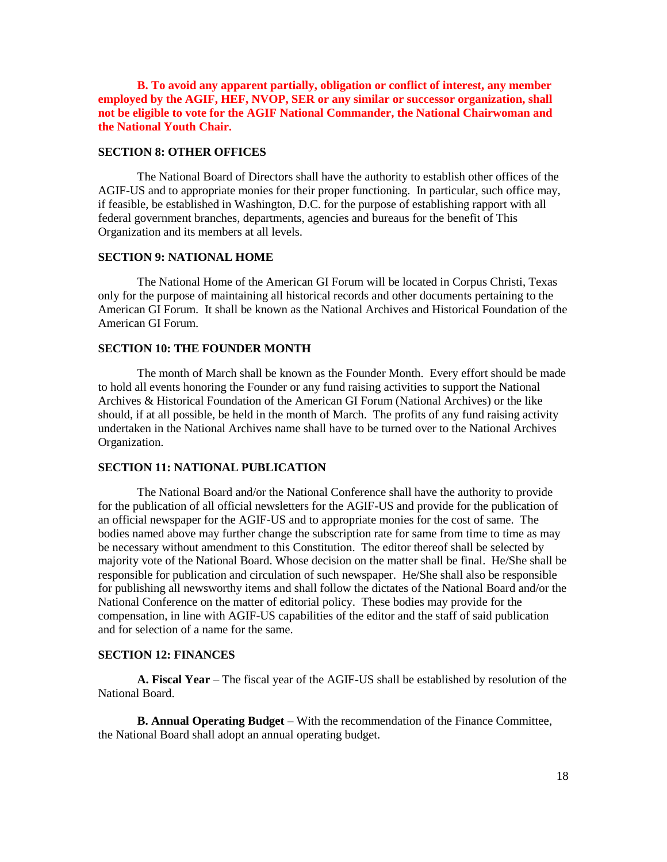**B. To avoid any apparent partially, obligation or conflict of interest, any member employed by the AGIF, HEF, NVOP, SER or any similar or successor organization, shall not be eligible to vote for the AGIF National Commander, the National Chairwoman and the National Youth Chair.**

#### **SECTION 8: OTHER OFFICES**

The National Board of Directors shall have the authority to establish other offices of the AGIF-US and to appropriate monies for their proper functioning. In particular, such office may, if feasible, be established in Washington, D.C. for the purpose of establishing rapport with all federal government branches, departments, agencies and bureaus for the benefit of This Organization and its members at all levels.

### **SECTION 9: NATIONAL HOME**

The National Home of the American GI Forum will be located in Corpus Christi, Texas only for the purpose of maintaining all historical records and other documents pertaining to the American GI Forum. It shall be known as the National Archives and Historical Foundation of the American GI Forum.

### **SECTION 10: THE FOUNDER MONTH**

The month of March shall be known as the Founder Month. Every effort should be made to hold all events honoring the Founder or any fund raising activities to support the National Archives & Historical Foundation of the American GI Forum (National Archives) or the like should, if at all possible, be held in the month of March. The profits of any fund raising activity undertaken in the National Archives name shall have to be turned over to the National Archives Organization.

## **SECTION 11: NATIONAL PUBLICATION**

The National Board and/or the National Conference shall have the authority to provide for the publication of all official newsletters for the AGIF-US and provide for the publication of an official newspaper for the AGIF-US and to appropriate monies for the cost of same. The bodies named above may further change the subscription rate for same from time to time as may be necessary without amendment to this Constitution. The editor thereof shall be selected by majority vote of the National Board. Whose decision on the matter shall be final. He/She shall be responsible for publication and circulation of such newspaper. He/She shall also be responsible for publishing all newsworthy items and shall follow the dictates of the National Board and/or the National Conference on the matter of editorial policy. These bodies may provide for the compensation, in line with AGIF-US capabilities of the editor and the staff of said publication and for selection of a name for the same.

## **SECTION 12: FINANCES**

**A. Fiscal Year** – The fiscal year of the AGIF-US shall be established by resolution of the National Board.

**B. Annual Operating Budget** – With the recommendation of the Finance Committee, the National Board shall adopt an annual operating budget.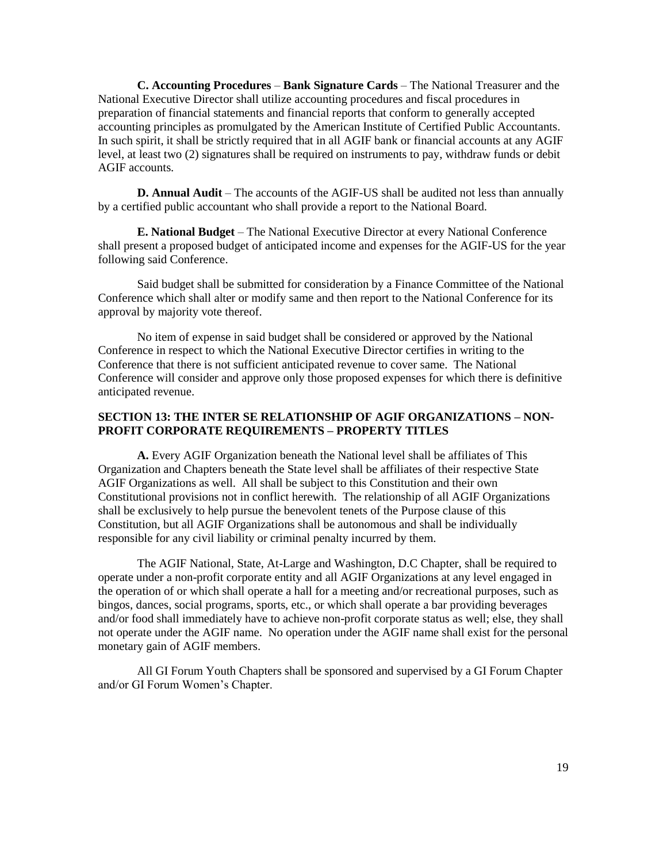**C. Accounting Procedures** – **Bank Signature Cards** – The National Treasurer and the National Executive Director shall utilize accounting procedures and fiscal procedures in preparation of financial statements and financial reports that conform to generally accepted accounting principles as promulgated by the American Institute of Certified Public Accountants. In such spirit, it shall be strictly required that in all AGIF bank or financial accounts at any AGIF level, at least two (2) signatures shall be required on instruments to pay, withdraw funds or debit AGIF accounts.

**D. Annual Audit** – The accounts of the AGIF-US shall be audited not less than annually by a certified public accountant who shall provide a report to the National Board.

**E. National Budget** – The National Executive Director at every National Conference shall present a proposed budget of anticipated income and expenses for the AGIF-US for the year following said Conference.

Said budget shall be submitted for consideration by a Finance Committee of the National Conference which shall alter or modify same and then report to the National Conference for its approval by majority vote thereof.

No item of expense in said budget shall be considered or approved by the National Conference in respect to which the National Executive Director certifies in writing to the Conference that there is not sufficient anticipated revenue to cover same. The National Conference will consider and approve only those proposed expenses for which there is definitive anticipated revenue.

## **SECTION 13: THE INTER SE RELATIONSHIP OF AGIF ORGANIZATIONS – NON-PROFIT CORPORATE REQUIREMENTS – PROPERTY TITLES**

**A.** Every AGIF Organization beneath the National level shall be affiliates of This Organization and Chapters beneath the State level shall be affiliates of their respective State AGIF Organizations as well. All shall be subject to this Constitution and their own Constitutional provisions not in conflict herewith. The relationship of all AGIF Organizations shall be exclusively to help pursue the benevolent tenets of the Purpose clause of this Constitution, but all AGIF Organizations shall be autonomous and shall be individually responsible for any civil liability or criminal penalty incurred by them.

The AGIF National, State, At-Large and Washington, D.C Chapter, shall be required to operate under a non-profit corporate entity and all AGIF Organizations at any level engaged in the operation of or which shall operate a hall for a meeting and/or recreational purposes, such as bingos, dances, social programs, sports, etc., or which shall operate a bar providing beverages and/or food shall immediately have to achieve non-profit corporate status as well; else, they shall not operate under the AGIF name. No operation under the AGIF name shall exist for the personal monetary gain of AGIF members.

All GI Forum Youth Chapters shall be sponsored and supervised by a GI Forum Chapter and/or GI Forum Women's Chapter.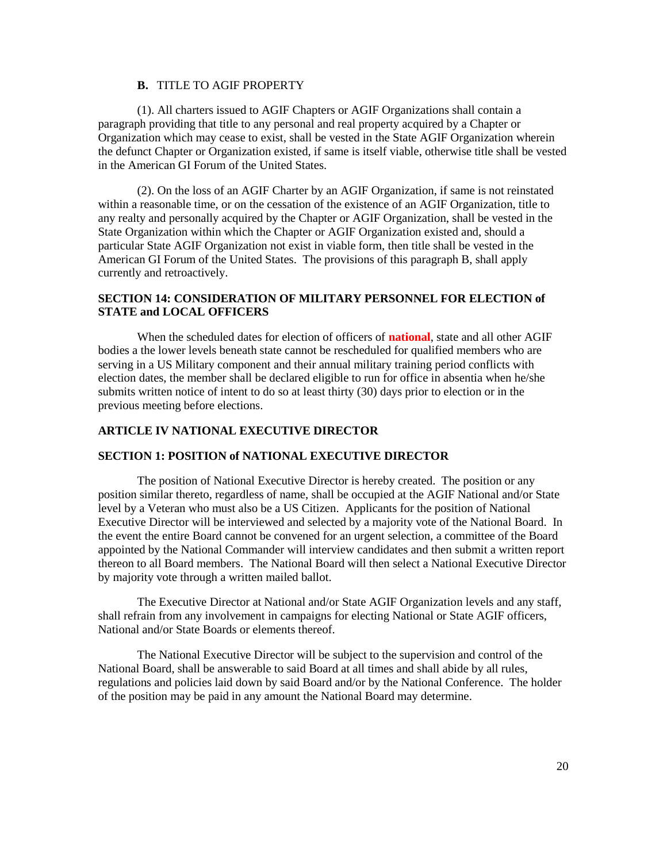# **B.** TITLE TO AGIF PROPERTY

(1). All charters issued to AGIF Chapters or AGIF Organizations shall contain a paragraph providing that title to any personal and real property acquired by a Chapter or Organization which may cease to exist, shall be vested in the State AGIF Organization wherein the defunct Chapter or Organization existed, if same is itself viable, otherwise title shall be vested in the American GI Forum of the United States.

(2). On the loss of an AGIF Charter by an AGIF Organization, if same is not reinstated within a reasonable time, or on the cessation of the existence of an AGIF Organization, title to any realty and personally acquired by the Chapter or AGIF Organization, shall be vested in the State Organization within which the Chapter or AGIF Organization existed and, should a particular State AGIF Organization not exist in viable form, then title shall be vested in the American GI Forum of the United States. The provisions of this paragraph B, shall apply currently and retroactively.

# **SECTION 14: CONSIDERATION OF MILITARY PERSONNEL FOR ELECTION of STATE and LOCAL OFFICERS**

When the scheduled dates for election of officers of **national**, state and all other AGIF bodies a the lower levels beneath state cannot be rescheduled for qualified members who are serving in a US Military component and their annual military training period conflicts with election dates, the member shall be declared eligible to run for office in absentia when he/she submits written notice of intent to do so at least thirty (30) days prior to election or in the previous meeting before elections.

# **ARTICLE IV NATIONAL EXECUTIVE DIRECTOR**

## **SECTION 1: POSITION of NATIONAL EXECUTIVE DIRECTOR**

The position of National Executive Director is hereby created. The position or any position similar thereto, regardless of name, shall be occupied at the AGIF National and/or State level by a Veteran who must also be a US Citizen. Applicants for the position of National Executive Director will be interviewed and selected by a majority vote of the National Board. In the event the entire Board cannot be convened for an urgent selection, a committee of the Board appointed by the National Commander will interview candidates and then submit a written report thereon to all Board members. The National Board will then select a National Executive Director by majority vote through a written mailed ballot.

The Executive Director at National and/or State AGIF Organization levels and any staff, shall refrain from any involvement in campaigns for electing National or State AGIF officers, National and/or State Boards or elements thereof.

The National Executive Director will be subject to the supervision and control of the National Board, shall be answerable to said Board at all times and shall abide by all rules, regulations and policies laid down by said Board and/or by the National Conference. The holder of the position may be paid in any amount the National Board may determine.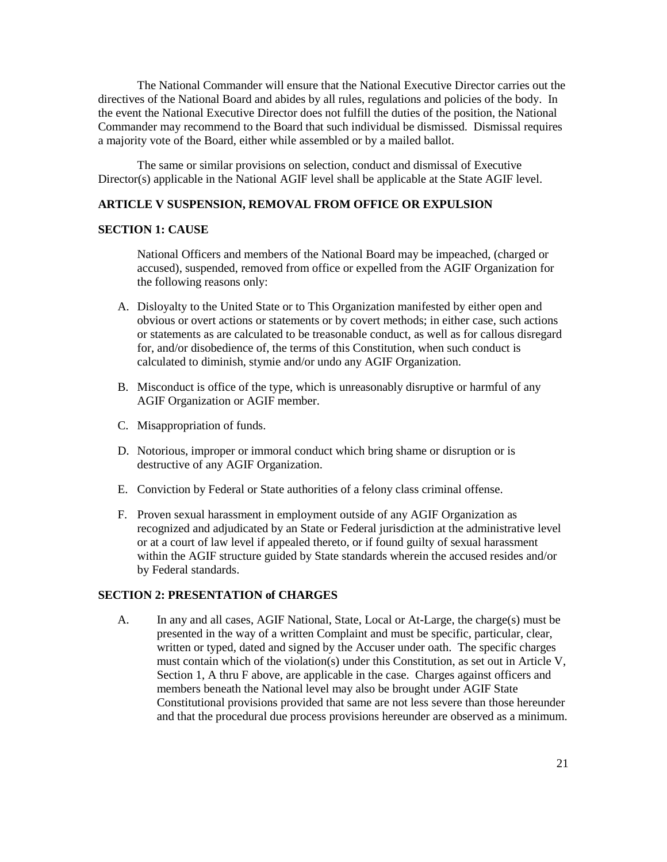The National Commander will ensure that the National Executive Director carries out the directives of the National Board and abides by all rules, regulations and policies of the body. In the event the National Executive Director does not fulfill the duties of the position, the National Commander may recommend to the Board that such individual be dismissed. Dismissal requires a majority vote of the Board, either while assembled or by a mailed ballot.

The same or similar provisions on selection, conduct and dismissal of Executive Director(s) applicable in the National AGIF level shall be applicable at the State AGIF level.

## **ARTICLE V SUSPENSION, REMOVAL FROM OFFICE OR EXPULSION**

#### **SECTION 1: CAUSE**

National Officers and members of the National Board may be impeached, (charged or accused), suspended, removed from office or expelled from the AGIF Organization for the following reasons only:

- A. Disloyalty to the United State or to This Organization manifested by either open and obvious or overt actions or statements or by covert methods; in either case, such actions or statements as are calculated to be treasonable conduct, as well as for callous disregard for, and/or disobedience of, the terms of this Constitution, when such conduct is calculated to diminish, stymie and/or undo any AGIF Organization.
- B. Misconduct is office of the type, which is unreasonably disruptive or harmful of any AGIF Organization or AGIF member.
- C. Misappropriation of funds.
- D. Notorious, improper or immoral conduct which bring shame or disruption or is destructive of any AGIF Organization.
- E. Conviction by Federal or State authorities of a felony class criminal offense.
- F. Proven sexual harassment in employment outside of any AGIF Organization as recognized and adjudicated by an State or Federal jurisdiction at the administrative level or at a court of law level if appealed thereto, or if found guilty of sexual harassment within the AGIF structure guided by State standards wherein the accused resides and/or by Federal standards.

### **SECTION 2: PRESENTATION of CHARGES**

A. In any and all cases, AGIF National, State, Local or At-Large, the charge(s) must be presented in the way of a written Complaint and must be specific, particular, clear, written or typed, dated and signed by the Accuser under oath. The specific charges must contain which of the violation(s) under this Constitution, as set out in Article V, Section 1, A thru F above, are applicable in the case. Charges against officers and members beneath the National level may also be brought under AGIF State Constitutional provisions provided that same are not less severe than those hereunder and that the procedural due process provisions hereunder are observed as a minimum.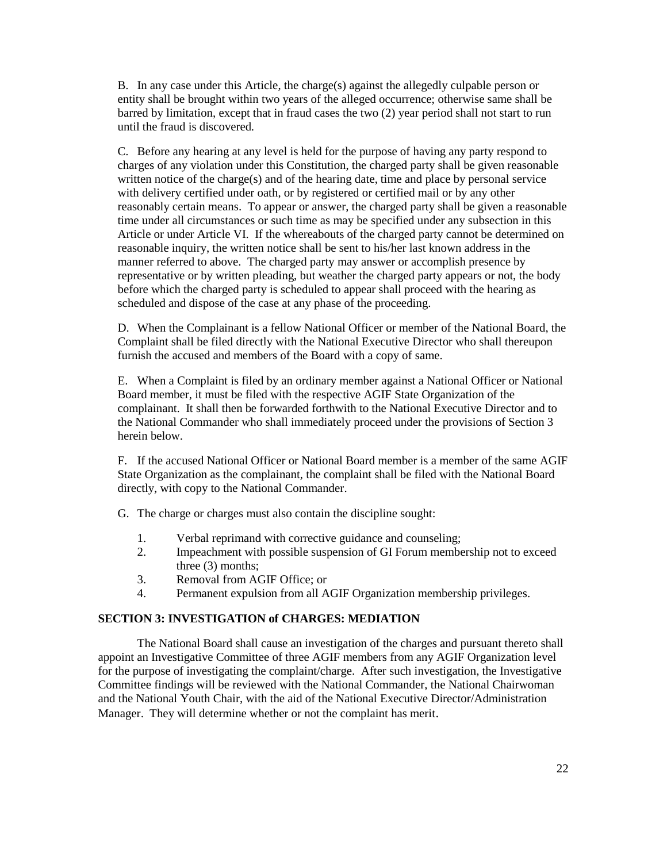B. In any case under this Article, the charge(s) against the allegedly culpable person or entity shall be brought within two years of the alleged occurrence; otherwise same shall be barred by limitation, except that in fraud cases the two (2) year period shall not start to run until the fraud is discovered.

C. Before any hearing at any level is held for the purpose of having any party respond to charges of any violation under this Constitution, the charged party shall be given reasonable written notice of the charge(s) and of the hearing date, time and place by personal service with delivery certified under oath, or by registered or certified mail or by any other reasonably certain means. To appear or answer, the charged party shall be given a reasonable time under all circumstances or such time as may be specified under any subsection in this Article or under Article VI. If the whereabouts of the charged party cannot be determined on reasonable inquiry, the written notice shall be sent to his/her last known address in the manner referred to above. The charged party may answer or accomplish presence by representative or by written pleading, but weather the charged party appears or not, the body before which the charged party is scheduled to appear shall proceed with the hearing as scheduled and dispose of the case at any phase of the proceeding.

D. When the Complainant is a fellow National Officer or member of the National Board, the Complaint shall be filed directly with the National Executive Director who shall thereupon furnish the accused and members of the Board with a copy of same.

E. When a Complaint is filed by an ordinary member against a National Officer or National Board member, it must be filed with the respective AGIF State Organization of the complainant. It shall then be forwarded forthwith to the National Executive Director and to the National Commander who shall immediately proceed under the provisions of Section 3 herein below.

F. If the accused National Officer or National Board member is a member of the same AGIF State Organization as the complainant, the complaint shall be filed with the National Board directly, with copy to the National Commander.

G. The charge or charges must also contain the discipline sought:

- 1. Verbal reprimand with corrective guidance and counseling;
- 2. Impeachment with possible suspension of GI Forum membership not to exceed three (3) months;
- 3. Removal from AGIF Office; or
- 4. Permanent expulsion from all AGIF Organization membership privileges.

### **SECTION 3: INVESTIGATION of CHARGES: MEDIATION**

The National Board shall cause an investigation of the charges and pursuant thereto shall appoint an Investigative Committee of three AGIF members from any AGIF Organization level for the purpose of investigating the complaint/charge. After such investigation, the Investigative Committee findings will be reviewed with the National Commander, the National Chairwoman and the National Youth Chair, with the aid of the National Executive Director/Administration Manager. They will determine whether or not the complaint has merit.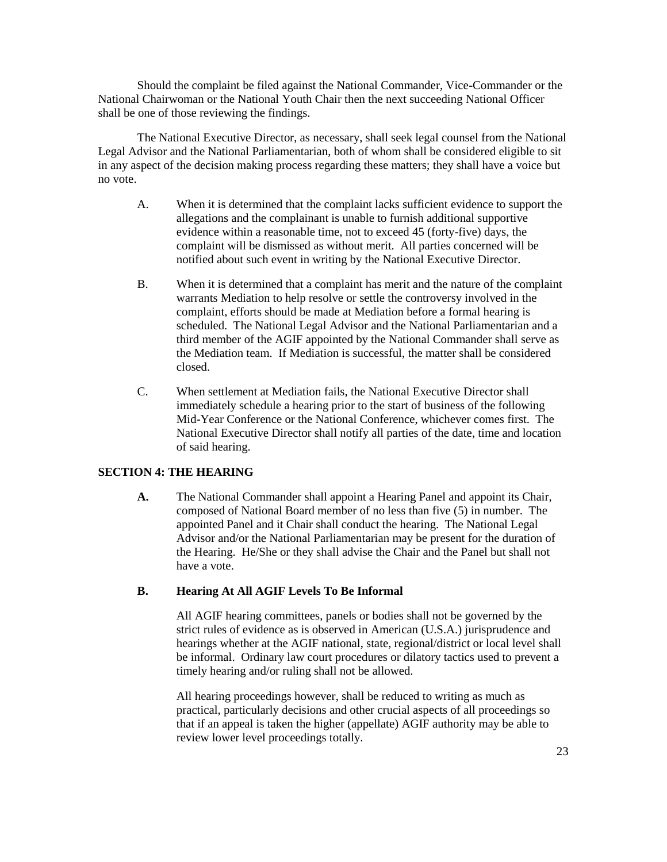Should the complaint be filed against the National Commander, Vice-Commander or the National Chairwoman or the National Youth Chair then the next succeeding National Officer shall be one of those reviewing the findings.

The National Executive Director, as necessary, shall seek legal counsel from the National Legal Advisor and the National Parliamentarian, both of whom shall be considered eligible to sit in any aspect of the decision making process regarding these matters; they shall have a voice but no vote.

- A. When it is determined that the complaint lacks sufficient evidence to support the allegations and the complainant is unable to furnish additional supportive evidence within a reasonable time, not to exceed 45 (forty-five) days, the complaint will be dismissed as without merit. All parties concerned will be notified about such event in writing by the National Executive Director.
- B. When it is determined that a complaint has merit and the nature of the complaint warrants Mediation to help resolve or settle the controversy involved in the complaint, efforts should be made at Mediation before a formal hearing is scheduled. The National Legal Advisor and the National Parliamentarian and a third member of the AGIF appointed by the National Commander shall serve as the Mediation team. If Mediation is successful, the matter shall be considered closed.
- C. When settlement at Mediation fails, the National Executive Director shall immediately schedule a hearing prior to the start of business of the following Mid-Year Conference or the National Conference, whichever comes first. The National Executive Director shall notify all parties of the date, time and location of said hearing.

### **SECTION 4: THE HEARING**

**A.** The National Commander shall appoint a Hearing Panel and appoint its Chair, composed of National Board member of no less than five (5) in number. The appointed Panel and it Chair shall conduct the hearing. The National Legal Advisor and/or the National Parliamentarian may be present for the duration of the Hearing. He/She or they shall advise the Chair and the Panel but shall not have a vote.

#### **B. Hearing At All AGIF Levels To Be Informal**

All AGIF hearing committees, panels or bodies shall not be governed by the strict rules of evidence as is observed in American (U.S.A.) jurisprudence and hearings whether at the AGIF national, state, regional/district or local level shall be informal. Ordinary law court procedures or dilatory tactics used to prevent a timely hearing and/or ruling shall not be allowed.

All hearing proceedings however, shall be reduced to writing as much as practical, particularly decisions and other crucial aspects of all proceedings so that if an appeal is taken the higher (appellate) AGIF authority may be able to review lower level proceedings totally.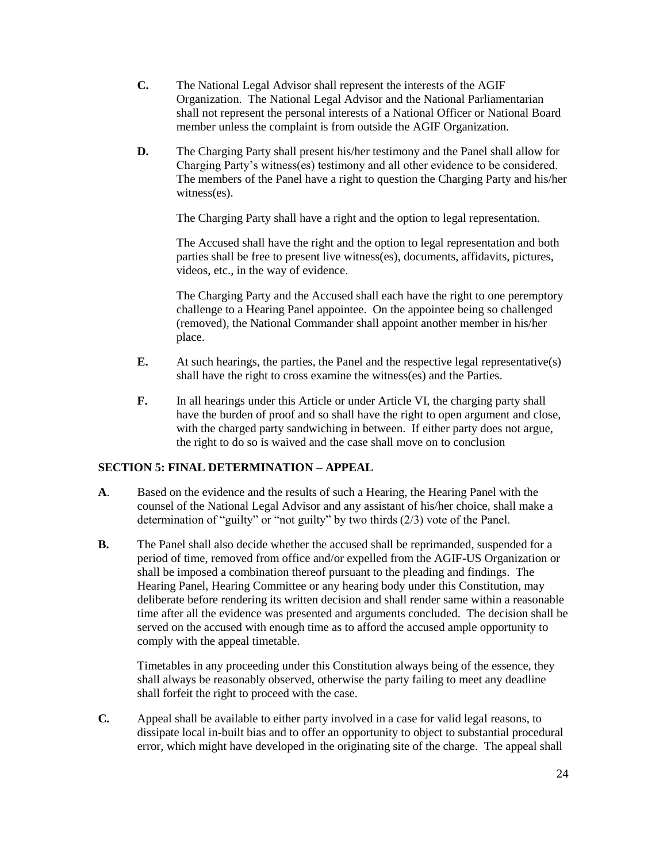- **C.** The National Legal Advisor shall represent the interests of the AGIF Organization. The National Legal Advisor and the National Parliamentarian shall not represent the personal interests of a National Officer or National Board member unless the complaint is from outside the AGIF Organization.
- **D.** The Charging Party shall present his/her testimony and the Panel shall allow for Charging Party's witness(es) testimony and all other evidence to be considered. The members of the Panel have a right to question the Charging Party and his/her witness(es).

The Charging Party shall have a right and the option to legal representation.

The Accused shall have the right and the option to legal representation and both parties shall be free to present live witness(es), documents, affidavits, pictures, videos, etc., in the way of evidence.

The Charging Party and the Accused shall each have the right to one peremptory challenge to a Hearing Panel appointee. On the appointee being so challenged (removed), the National Commander shall appoint another member in his/her place.

- **E.** At such hearings, the parties, the Panel and the respective legal representative(s) shall have the right to cross examine the witness(es) and the Parties.
- **F.** In all hearings under this Article or under Article VI, the charging party shall have the burden of proof and so shall have the right to open argument and close, with the charged party sandwiching in between. If either party does not argue, the right to do so is waived and the case shall move on to conclusion

# **SECTION 5: FINAL DETERMINATION – APPEAL**

- **A**. Based on the evidence and the results of such a Hearing, the Hearing Panel with the counsel of the National Legal Advisor and any assistant of his/her choice, shall make a determination of "guilty" or "not guilty" by two thirds (2/3) vote of the Panel.
- **B.** The Panel shall also decide whether the accused shall be reprimanded, suspended for a period of time, removed from office and/or expelled from the AGIF-US Organization or shall be imposed a combination thereof pursuant to the pleading and findings. The Hearing Panel, Hearing Committee or any hearing body under this Constitution, may deliberate before rendering its written decision and shall render same within a reasonable time after all the evidence was presented and arguments concluded. The decision shall be served on the accused with enough time as to afford the accused ample opportunity to comply with the appeal timetable.

Timetables in any proceeding under this Constitution always being of the essence, they shall always be reasonably observed, otherwise the party failing to meet any deadline shall forfeit the right to proceed with the case.

**C.** Appeal shall be available to either party involved in a case for valid legal reasons, to dissipate local in-built bias and to offer an opportunity to object to substantial procedural error, which might have developed in the originating site of the charge. The appeal shall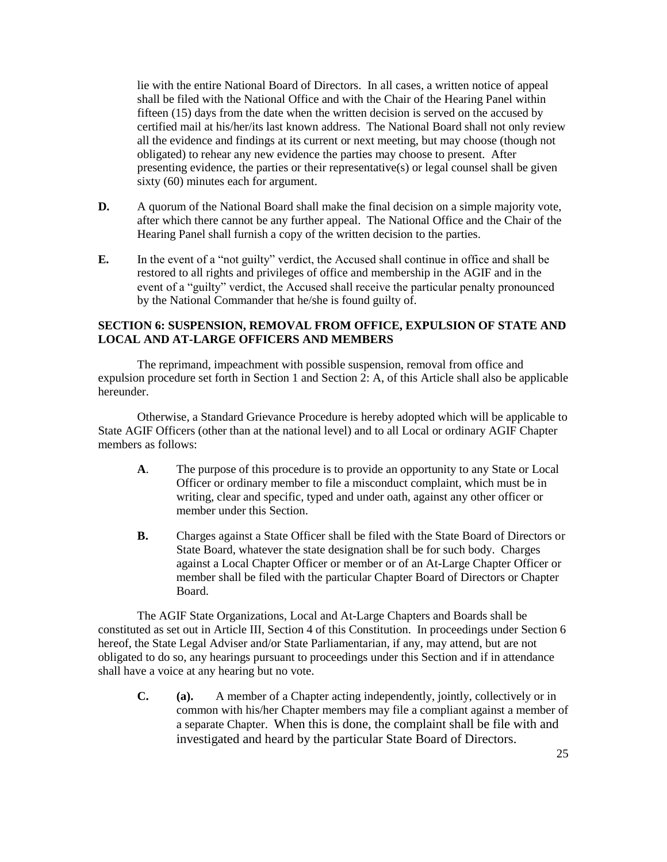lie with the entire National Board of Directors. In all cases, a written notice of appeal shall be filed with the National Office and with the Chair of the Hearing Panel within fifteen (15) days from the date when the written decision is served on the accused by certified mail at his/her/its last known address. The National Board shall not only review all the evidence and findings at its current or next meeting, but may choose (though not obligated) to rehear any new evidence the parties may choose to present. After presenting evidence, the parties or their representative(s) or legal counsel shall be given sixty (60) minutes each for argument.

- **D.** A quorum of the National Board shall make the final decision on a simple majority vote, after which there cannot be any further appeal. The National Office and the Chair of the Hearing Panel shall furnish a copy of the written decision to the parties.
- **E.** In the event of a "not guilty" verdict, the Accused shall continue in office and shall be restored to all rights and privileges of office and membership in the AGIF and in the event of a "guilty" verdict, the Accused shall receive the particular penalty pronounced by the National Commander that he/she is found guilty of.

## **SECTION 6: SUSPENSION, REMOVAL FROM OFFICE, EXPULSION OF STATE AND LOCAL AND AT-LARGE OFFICERS AND MEMBERS**

The reprimand, impeachment with possible suspension, removal from office and expulsion procedure set forth in Section 1 and Section 2: A, of this Article shall also be applicable hereunder.

Otherwise, a Standard Grievance Procedure is hereby adopted which will be applicable to State AGIF Officers (other than at the national level) and to all Local or ordinary AGIF Chapter members as follows:

- **A**. The purpose of this procedure is to provide an opportunity to any State or Local Officer or ordinary member to file a misconduct complaint, which must be in writing, clear and specific, typed and under oath, against any other officer or member under this Section.
- **B.** Charges against a State Officer shall be filed with the State Board of Directors or State Board, whatever the state designation shall be for such body. Charges against a Local Chapter Officer or member or of an At-Large Chapter Officer or member shall be filed with the particular Chapter Board of Directors or Chapter Board.

The AGIF State Organizations, Local and At-Large Chapters and Boards shall be constituted as set out in Article III, Section 4 of this Constitution. In proceedings under Section 6 hereof, the State Legal Adviser and/or State Parliamentarian, if any, may attend, but are not obligated to do so, any hearings pursuant to proceedings under this Section and if in attendance shall have a voice at any hearing but no vote.

**C. (a).** A member of a Chapter acting independently, jointly, collectively or in common with his/her Chapter members may file a compliant against a member of a separate Chapter. When this is done, the complaint shall be file with and investigated and heard by the particular State Board of Directors.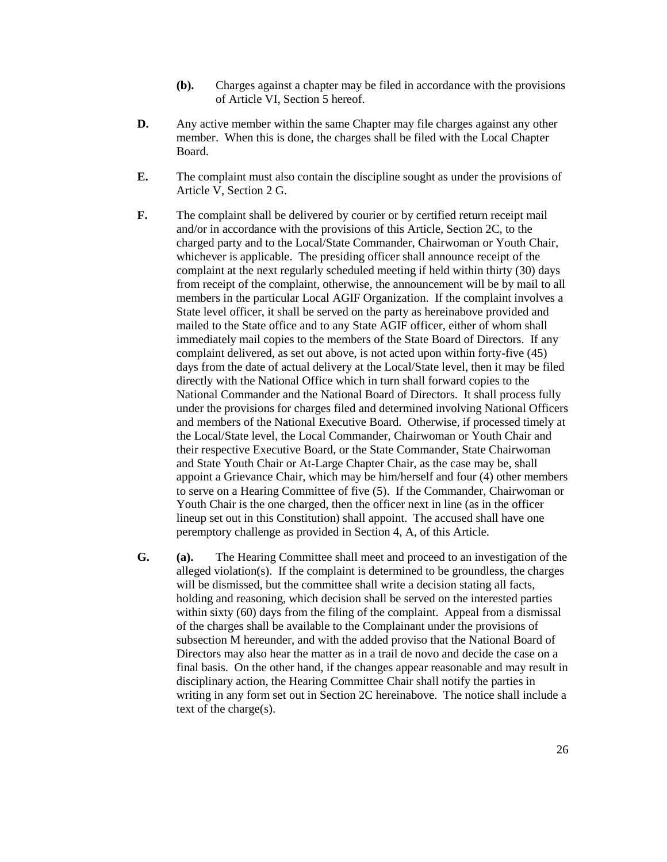- **(b).** Charges against a chapter may be filed in accordance with the provisions of Article VI, Section 5 hereof.
- **D.** Any active member within the same Chapter may file charges against any other member. When this is done, the charges shall be filed with the Local Chapter Board.
- **E.** The complaint must also contain the discipline sought as under the provisions of Article V, Section 2 G.
- **F.** The complaint shall be delivered by courier or by certified return receipt mail and/or in accordance with the provisions of this Article, Section 2C, to the charged party and to the Local/State Commander, Chairwoman or Youth Chair, whichever is applicable. The presiding officer shall announce receipt of the complaint at the next regularly scheduled meeting if held within thirty (30) days from receipt of the complaint, otherwise, the announcement will be by mail to all members in the particular Local AGIF Organization. If the complaint involves a State level officer, it shall be served on the party as hereinabove provided and mailed to the State office and to any State AGIF officer, either of whom shall immediately mail copies to the members of the State Board of Directors. If any complaint delivered, as set out above, is not acted upon within forty-five (45) days from the date of actual delivery at the Local/State level, then it may be filed directly with the National Office which in turn shall forward copies to the National Commander and the National Board of Directors. It shall process fully under the provisions for charges filed and determined involving National Officers and members of the National Executive Board. Otherwise, if processed timely at the Local/State level, the Local Commander, Chairwoman or Youth Chair and their respective Executive Board, or the State Commander, State Chairwoman and State Youth Chair or At-Large Chapter Chair, as the case may be, shall appoint a Grievance Chair, which may be him/herself and four (4) other members to serve on a Hearing Committee of five (5). If the Commander, Chairwoman or Youth Chair is the one charged, then the officer next in line (as in the officer lineup set out in this Constitution) shall appoint. The accused shall have one peremptory challenge as provided in Section 4, A, of this Article.
- **G. (a).** The Hearing Committee shall meet and proceed to an investigation of the alleged violation(s). If the complaint is determined to be groundless, the charges will be dismissed, but the committee shall write a decision stating all facts, holding and reasoning, which decision shall be served on the interested parties within sixty (60) days from the filing of the complaint. Appeal from a dismissal of the charges shall be available to the Complainant under the provisions of subsection M hereunder, and with the added proviso that the National Board of Directors may also hear the matter as in a trail de novo and decide the case on a final basis. On the other hand, if the changes appear reasonable and may result in disciplinary action, the Hearing Committee Chair shall notify the parties in writing in any form set out in Section 2C hereinabove. The notice shall include a text of the charge(s).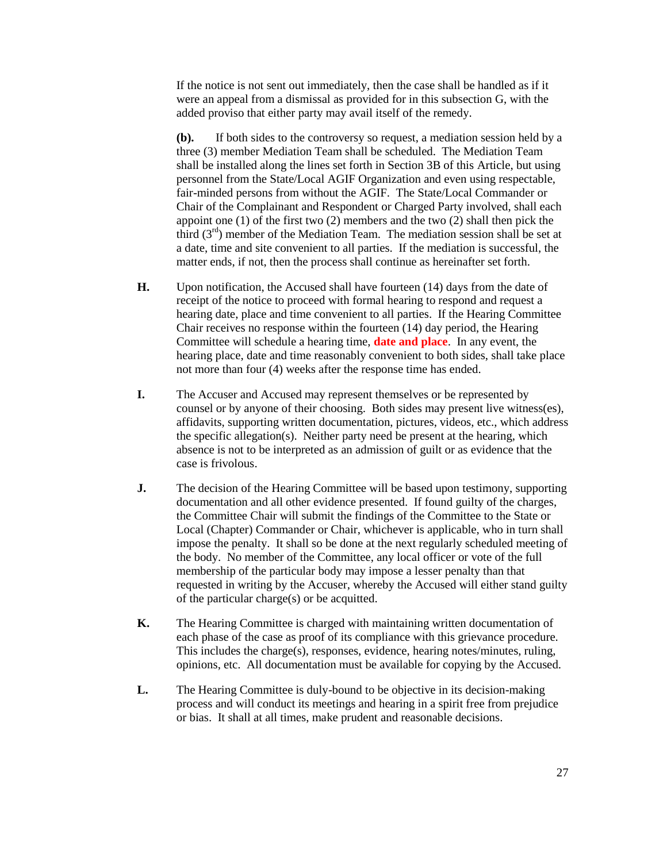If the notice is not sent out immediately, then the case shall be handled as if it were an appeal from a dismissal as provided for in this subsection G, with the added proviso that either party may avail itself of the remedy.

**(b).** If both sides to the controversy so request, a mediation session held by a three (3) member Mediation Team shall be scheduled. The Mediation Team shall be installed along the lines set forth in Section 3B of this Article, but using personnel from the State/Local AGIF Organization and even using respectable, fair-minded persons from without the AGIF. The State/Local Commander or Chair of the Complainant and Respondent or Charged Party involved, shall each appoint one (1) of the first two (2) members and the two (2) shall then pick the third  $(3<sup>rd</sup>)$  member of the Mediation Team. The mediation session shall be set at a date, time and site convenient to all parties. If the mediation is successful, the matter ends, if not, then the process shall continue as hereinafter set forth.

- **H.** Upon notification, the Accused shall have fourteen (14) days from the date of receipt of the notice to proceed with formal hearing to respond and request a hearing date, place and time convenient to all parties. If the Hearing Committee Chair receives no response within the fourteen (14) day period, the Hearing Committee will schedule a hearing time, **date and place**. In any event, the hearing place, date and time reasonably convenient to both sides, shall take place not more than four (4) weeks after the response time has ended.
- **I.** The Accuser and Accused may represent themselves or be represented by counsel or by anyone of their choosing. Both sides may present live witness(es), affidavits, supporting written documentation, pictures, videos, etc., which address the specific allegation(s). Neither party need be present at the hearing, which absence is not to be interpreted as an admission of guilt or as evidence that the case is frivolous.
- **J.** The decision of the Hearing Committee will be based upon testimony, supporting documentation and all other evidence presented. If found guilty of the charges, the Committee Chair will submit the findings of the Committee to the State or Local (Chapter) Commander or Chair, whichever is applicable, who in turn shall impose the penalty. It shall so be done at the next regularly scheduled meeting of the body. No member of the Committee, any local officer or vote of the full membership of the particular body may impose a lesser penalty than that requested in writing by the Accuser, whereby the Accused will either stand guilty of the particular charge(s) or be acquitted.
- **K.** The Hearing Committee is charged with maintaining written documentation of each phase of the case as proof of its compliance with this grievance procedure. This includes the charge(s), responses, evidence, hearing notes/minutes, ruling, opinions, etc. All documentation must be available for copying by the Accused.
- **L.** The Hearing Committee is duly-bound to be objective in its decision-making process and will conduct its meetings and hearing in a spirit free from prejudice or bias. It shall at all times, make prudent and reasonable decisions.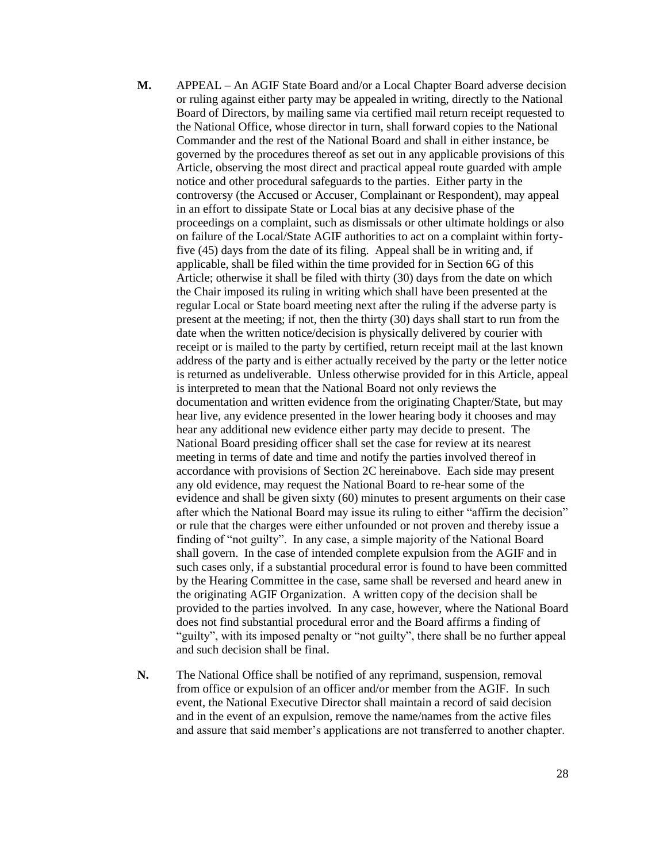- **M.** APPEAL An AGIF State Board and/or a Local Chapter Board adverse decision or ruling against either party may be appealed in writing, directly to the National Board of Directors, by mailing same via certified mail return receipt requested to the National Office, whose director in turn, shall forward copies to the National Commander and the rest of the National Board and shall in either instance, be governed by the procedures thereof as set out in any applicable provisions of this Article, observing the most direct and practical appeal route guarded with ample notice and other procedural safeguards to the parties. Either party in the controversy (the Accused or Accuser, Complainant or Respondent), may appeal in an effort to dissipate State or Local bias at any decisive phase of the proceedings on a complaint, such as dismissals or other ultimate holdings or also on failure of the Local/State AGIF authorities to act on a complaint within fortyfive (45) days from the date of its filing. Appeal shall be in writing and, if applicable, shall be filed within the time provided for in Section 6G of this Article; otherwise it shall be filed with thirty (30) days from the date on which the Chair imposed its ruling in writing which shall have been presented at the regular Local or State board meeting next after the ruling if the adverse party is present at the meeting; if not, then the thirty (30) days shall start to run from the date when the written notice/decision is physically delivered by courier with receipt or is mailed to the party by certified, return receipt mail at the last known address of the party and is either actually received by the party or the letter notice is returned as undeliverable. Unless otherwise provided for in this Article, appeal is interpreted to mean that the National Board not only reviews the documentation and written evidence from the originating Chapter/State, but may hear live, any evidence presented in the lower hearing body it chooses and may hear any additional new evidence either party may decide to present. The National Board presiding officer shall set the case for review at its nearest meeting in terms of date and time and notify the parties involved thereof in accordance with provisions of Section 2C hereinabove. Each side may present any old evidence, may request the National Board to re-hear some of the evidence and shall be given sixty (60) minutes to present arguments on their case after which the National Board may issue its ruling to either "affirm the decision" or rule that the charges were either unfounded or not proven and thereby issue a finding of "not guilty". In any case, a simple majority of the National Board shall govern. In the case of intended complete expulsion from the AGIF and in such cases only, if a substantial procedural error is found to have been committed by the Hearing Committee in the case, same shall be reversed and heard anew in the originating AGIF Organization. A written copy of the decision shall be provided to the parties involved. In any case, however, where the National Board does not find substantial procedural error and the Board affirms a finding of "guilty", with its imposed penalty or "not guilty", there shall be no further appeal and such decision shall be final.
- **N.** The National Office shall be notified of any reprimand, suspension, removal from office or expulsion of an officer and/or member from the AGIF. In such event, the National Executive Director shall maintain a record of said decision and in the event of an expulsion, remove the name/names from the active files and assure that said member's applications are not transferred to another chapter.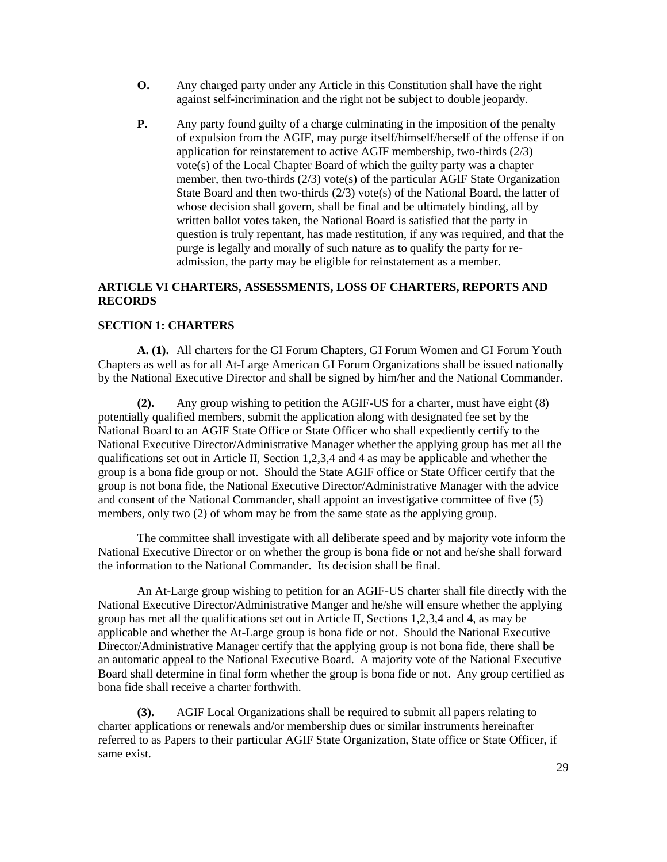- **O.** Any charged party under any Article in this Constitution shall have the right against self-incrimination and the right not be subject to double jeopardy.
- **P.** Any party found guilty of a charge culminating in the imposition of the penalty of expulsion from the AGIF, may purge itself/himself/herself of the offense if on application for reinstatement to active AGIF membership, two-thirds (2/3) vote(s) of the Local Chapter Board of which the guilty party was a chapter member, then two-thirds  $(2/3)$  vote(s) of the particular AGIF State Organization State Board and then two-thirds (2/3) vote(s) of the National Board, the latter of whose decision shall govern, shall be final and be ultimately binding, all by written ballot votes taken, the National Board is satisfied that the party in question is truly repentant, has made restitution, if any was required, and that the purge is legally and morally of such nature as to qualify the party for readmission, the party may be eligible for reinstatement as a member.

# **ARTICLE VI CHARTERS, ASSESSMENTS, LOSS OF CHARTERS, REPORTS AND RECORDS**

## **SECTION 1: CHARTERS**

**A. (1).** All charters for the GI Forum Chapters, GI Forum Women and GI Forum Youth Chapters as well as for all At-Large American GI Forum Organizations shall be issued nationally by the National Executive Director and shall be signed by him/her and the National Commander.

**(2).** Any group wishing to petition the AGIF-US for a charter, must have eight (8) potentially qualified members, submit the application along with designated fee set by the National Board to an AGIF State Office or State Officer who shall expediently certify to the National Executive Director/Administrative Manager whether the applying group has met all the qualifications set out in Article II, Section 1,2,3,4 and 4 as may be applicable and whether the group is a bona fide group or not. Should the State AGIF office or State Officer certify that the group is not bona fide, the National Executive Director/Administrative Manager with the advice and consent of the National Commander, shall appoint an investigative committee of five (5) members, only two (2) of whom may be from the same state as the applying group.

The committee shall investigate with all deliberate speed and by majority vote inform the National Executive Director or on whether the group is bona fide or not and he/she shall forward the information to the National Commander. Its decision shall be final.

An At-Large group wishing to petition for an AGIF-US charter shall file directly with the National Executive Director/Administrative Manger and he/she will ensure whether the applying group has met all the qualifications set out in Article II, Sections 1,2,3,4 and 4, as may be applicable and whether the At-Large group is bona fide or not. Should the National Executive Director/Administrative Manager certify that the applying group is not bona fide, there shall be an automatic appeal to the National Executive Board. A majority vote of the National Executive Board shall determine in final form whether the group is bona fide or not. Any group certified as bona fide shall receive a charter forthwith.

**(3).** AGIF Local Organizations shall be required to submit all papers relating to charter applications or renewals and/or membership dues or similar instruments hereinafter referred to as Papers to their particular AGIF State Organization, State office or State Officer, if same exist.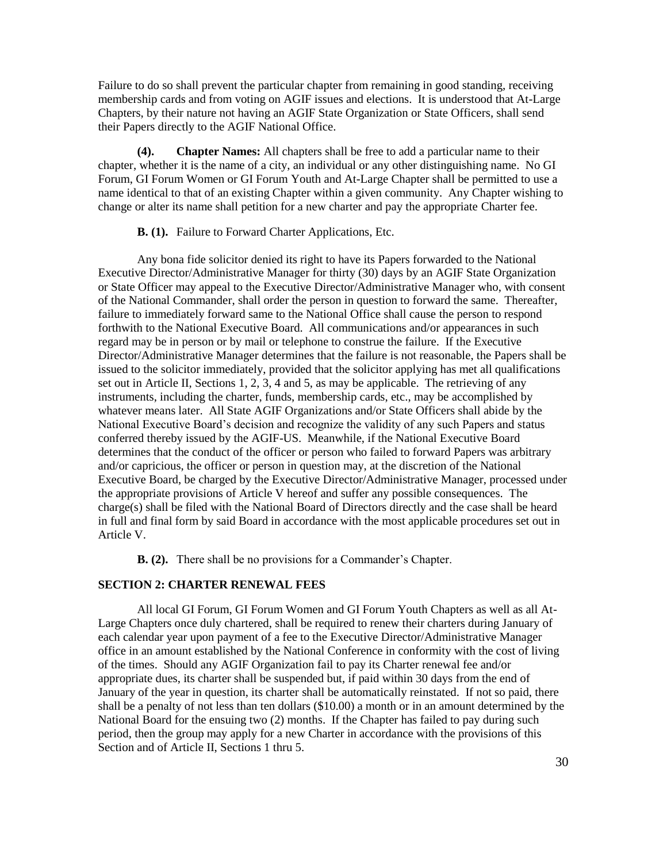Failure to do so shall prevent the particular chapter from remaining in good standing, receiving membership cards and from voting on AGIF issues and elections. It is understood that At-Large Chapters, by their nature not having an AGIF State Organization or State Officers, shall send their Papers directly to the AGIF National Office.

**(4). Chapter Names:** All chapters shall be free to add a particular name to their chapter, whether it is the name of a city, an individual or any other distinguishing name. No GI Forum, GI Forum Women or GI Forum Youth and At-Large Chapter shall be permitted to use a name identical to that of an existing Chapter within a given community. Any Chapter wishing to change or alter its name shall petition for a new charter and pay the appropriate Charter fee.

#### **B. (1).** Failure to Forward Charter Applications, Etc.

Any bona fide solicitor denied its right to have its Papers forwarded to the National Executive Director/Administrative Manager for thirty (30) days by an AGIF State Organization or State Officer may appeal to the Executive Director/Administrative Manager who, with consent of the National Commander, shall order the person in question to forward the same. Thereafter, failure to immediately forward same to the National Office shall cause the person to respond forthwith to the National Executive Board. All communications and/or appearances in such regard may be in person or by mail or telephone to construe the failure. If the Executive Director/Administrative Manager determines that the failure is not reasonable, the Papers shall be issued to the solicitor immediately, provided that the solicitor applying has met all qualifications set out in Article II, Sections 1, 2, 3, 4 and 5, as may be applicable. The retrieving of any instruments, including the charter, funds, membership cards, etc., may be accomplished by whatever means later. All State AGIF Organizations and/or State Officers shall abide by the National Executive Board's decision and recognize the validity of any such Papers and status conferred thereby issued by the AGIF-US. Meanwhile, if the National Executive Board determines that the conduct of the officer or person who failed to forward Papers was arbitrary and/or capricious, the officer or person in question may, at the discretion of the National Executive Board, be charged by the Executive Director/Administrative Manager, processed under the appropriate provisions of Article V hereof and suffer any possible consequences. The charge(s) shall be filed with the National Board of Directors directly and the case shall be heard in full and final form by said Board in accordance with the most applicable procedures set out in Article V.

**B. (2).** There shall be no provisions for a Commander's Chapter.

### **SECTION 2: CHARTER RENEWAL FEES**

All local GI Forum, GI Forum Women and GI Forum Youth Chapters as well as all At-Large Chapters once duly chartered, shall be required to renew their charters during January of each calendar year upon payment of a fee to the Executive Director/Administrative Manager office in an amount established by the National Conference in conformity with the cost of living of the times. Should any AGIF Organization fail to pay its Charter renewal fee and/or appropriate dues, its charter shall be suspended but, if paid within 30 days from the end of January of the year in question, its charter shall be automatically reinstated. If not so paid, there shall be a penalty of not less than ten dollars (\$10.00) a month or in an amount determined by the National Board for the ensuing two (2) months. If the Chapter has failed to pay during such period, then the group may apply for a new Charter in accordance with the provisions of this Section and of Article II, Sections 1 thru 5.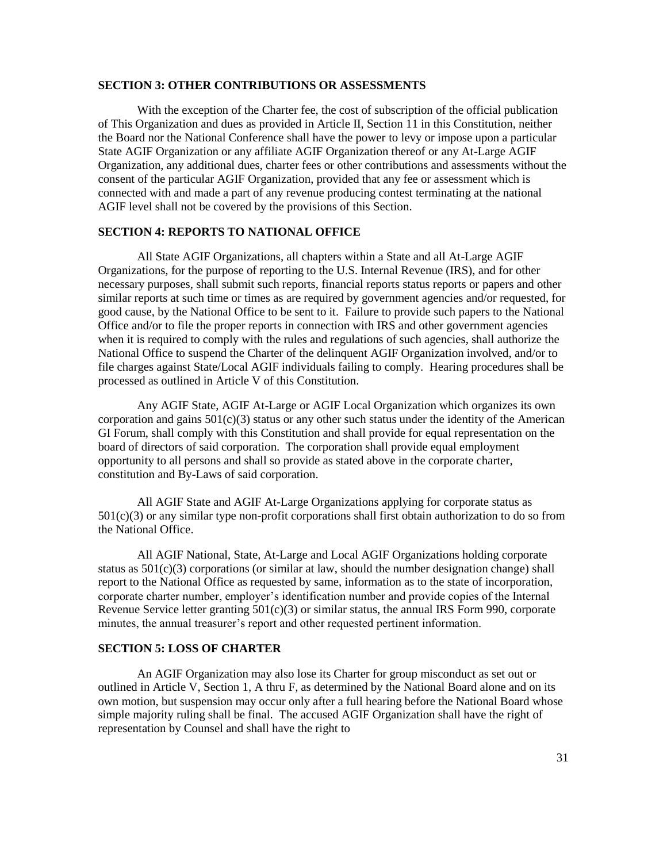### **SECTION 3: OTHER CONTRIBUTIONS OR ASSESSMENTS**

With the exception of the Charter fee, the cost of subscription of the official publication of This Organization and dues as provided in Article II, Section 11 in this Constitution, neither the Board nor the National Conference shall have the power to levy or impose upon a particular State AGIF Organization or any affiliate AGIF Organization thereof or any At-Large AGIF Organization, any additional dues, charter fees or other contributions and assessments without the consent of the particular AGIF Organization, provided that any fee or assessment which is connected with and made a part of any revenue producing contest terminating at the national AGIF level shall not be covered by the provisions of this Section.

#### **SECTION 4: REPORTS TO NATIONAL OFFICE**

All State AGIF Organizations, all chapters within a State and all At-Large AGIF Organizations, for the purpose of reporting to the U.S. Internal Revenue (IRS), and for other necessary purposes, shall submit such reports, financial reports status reports or papers and other similar reports at such time or times as are required by government agencies and/or requested, for good cause, by the National Office to be sent to it. Failure to provide such papers to the National Office and/or to file the proper reports in connection with IRS and other government agencies when it is required to comply with the rules and regulations of such agencies, shall authorize the National Office to suspend the Charter of the delinquent AGIF Organization involved, and/or to file charges against State/Local AGIF individuals failing to comply. Hearing procedures shall be processed as outlined in Article V of this Constitution.

Any AGIF State, AGIF At-Large or AGIF Local Organization which organizes its own corporation and gains  $501(c)(3)$  status or any other such status under the identity of the American GI Forum, shall comply with this Constitution and shall provide for equal representation on the board of directors of said corporation. The corporation shall provide equal employment opportunity to all persons and shall so provide as stated above in the corporate charter, constitution and By-Laws of said corporation.

All AGIF State and AGIF At-Large Organizations applying for corporate status as 501(c)(3) or any similar type non-profit corporations shall first obtain authorization to do so from the National Office.

All AGIF National, State, At-Large and Local AGIF Organizations holding corporate status as  $501(c)(3)$  corporations (or similar at law, should the number designation change) shall report to the National Office as requested by same, information as to the state of incorporation, corporate charter number, employer's identification number and provide copies of the Internal Revenue Service letter granting  $501(c)(3)$  or similar status, the annual IRS Form 990, corporate minutes, the annual treasurer's report and other requested pertinent information.

### **SECTION 5: LOSS OF CHARTER**

An AGIF Organization may also lose its Charter for group misconduct as set out or outlined in Article V, Section 1, A thru F, as determined by the National Board alone and on its own motion, but suspension may occur only after a full hearing before the National Board whose simple majority ruling shall be final. The accused AGIF Organization shall have the right of representation by Counsel and shall have the right to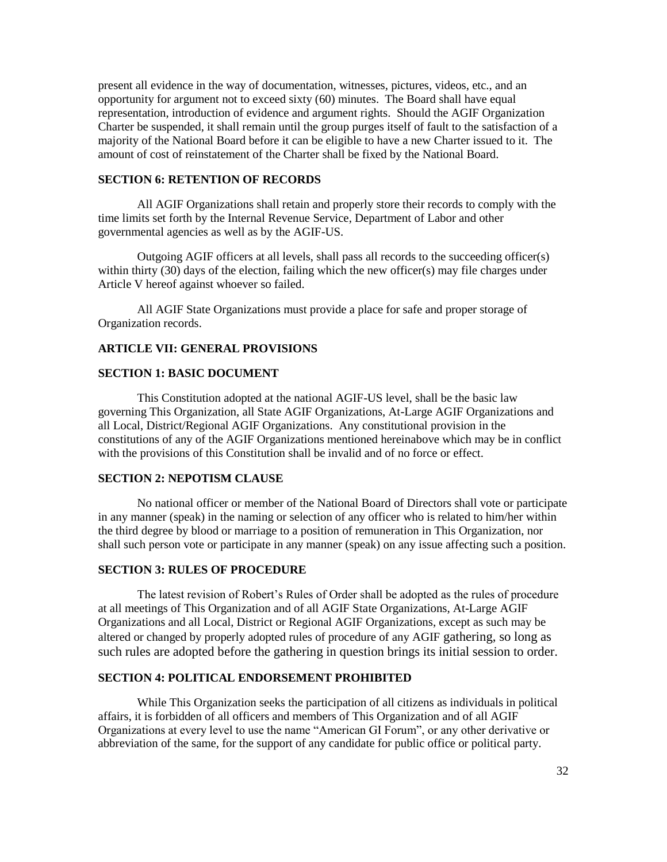present all evidence in the way of documentation, witnesses, pictures, videos, etc., and an opportunity for argument not to exceed sixty (60) minutes. The Board shall have equal representation, introduction of evidence and argument rights. Should the AGIF Organization Charter be suspended, it shall remain until the group purges itself of fault to the satisfaction of a majority of the National Board before it can be eligible to have a new Charter issued to it. The amount of cost of reinstatement of the Charter shall be fixed by the National Board.

## **SECTION 6: RETENTION OF RECORDS**

All AGIF Organizations shall retain and properly store their records to comply with the time limits set forth by the Internal Revenue Service, Department of Labor and other governmental agencies as well as by the AGIF-US.

Outgoing AGIF officers at all levels, shall pass all records to the succeeding officer(s) within thirty (30) days of the election, failing which the new officer(s) may file charges under Article V hereof against whoever so failed.

All AGIF State Organizations must provide a place for safe and proper storage of Organization records.

### **ARTICLE VII: GENERAL PROVISIONS**

#### **SECTION 1: BASIC DOCUMENT**

This Constitution adopted at the national AGIF-US level, shall be the basic law governing This Organization, all State AGIF Organizations, At-Large AGIF Organizations and all Local, District/Regional AGIF Organizations. Any constitutional provision in the constitutions of any of the AGIF Organizations mentioned hereinabove which may be in conflict with the provisions of this Constitution shall be invalid and of no force or effect.

## **SECTION 2: NEPOTISM CLAUSE**

No national officer or member of the National Board of Directors shall vote or participate in any manner (speak) in the naming or selection of any officer who is related to him/her within the third degree by blood or marriage to a position of remuneration in This Organization, nor shall such person vote or participate in any manner (speak) on any issue affecting such a position.

## **SECTION 3: RULES OF PROCEDURE**

The latest revision of Robert's Rules of Order shall be adopted as the rules of procedure at all meetings of This Organization and of all AGIF State Organizations, At-Large AGIF Organizations and all Local, District or Regional AGIF Organizations, except as such may be altered or changed by properly adopted rules of procedure of any AGIF gathering, so long as such rules are adopted before the gathering in question brings its initial session to order.

### **SECTION 4: POLITICAL ENDORSEMENT PROHIBITED**

While This Organization seeks the participation of all citizens as individuals in political affairs, it is forbidden of all officers and members of This Organization and of all AGIF Organizations at every level to use the name "American GI Forum", or any other derivative or abbreviation of the same, for the support of any candidate for public office or political party.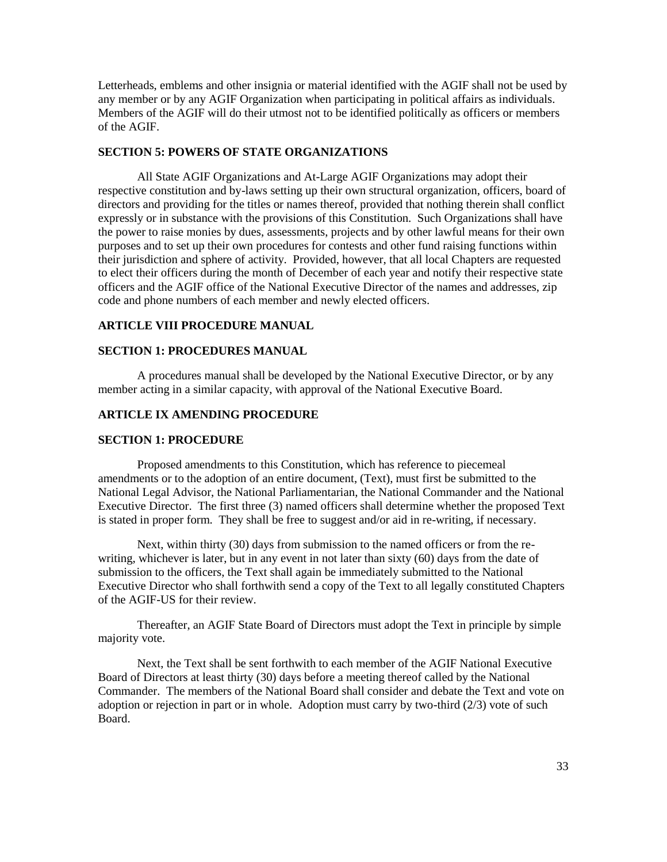Letterheads, emblems and other insignia or material identified with the AGIF shall not be used by any member or by any AGIF Organization when participating in political affairs as individuals. Members of the AGIF will do their utmost not to be identified politically as officers or members of the AGIF.

#### **SECTION 5: POWERS OF STATE ORGANIZATIONS**

All State AGIF Organizations and At-Large AGIF Organizations may adopt their respective constitution and by-laws setting up their own structural organization, officers, board of directors and providing for the titles or names thereof, provided that nothing therein shall conflict expressly or in substance with the provisions of this Constitution. Such Organizations shall have the power to raise monies by dues, assessments, projects and by other lawful means for their own purposes and to set up their own procedures for contests and other fund raising functions within their jurisdiction and sphere of activity. Provided, however, that all local Chapters are requested to elect their officers during the month of December of each year and notify their respective state officers and the AGIF office of the National Executive Director of the names and addresses, zip code and phone numbers of each member and newly elected officers.

## **ARTICLE VIII PROCEDURE MANUAL**

#### **SECTION 1: PROCEDURES MANUAL**

A procedures manual shall be developed by the National Executive Director, or by any member acting in a similar capacity, with approval of the National Executive Board.

### **ARTICLE IX AMENDING PROCEDURE**

#### **SECTION 1: PROCEDURE**

Proposed amendments to this Constitution, which has reference to piecemeal amendments or to the adoption of an entire document, (Text), must first be submitted to the National Legal Advisor, the National Parliamentarian, the National Commander and the National Executive Director. The first three (3) named officers shall determine whether the proposed Text is stated in proper form. They shall be free to suggest and/or aid in re-writing, if necessary.

Next, within thirty (30) days from submission to the named officers or from the rewriting, whichever is later, but in any event in not later than sixty (60) days from the date of submission to the officers, the Text shall again be immediately submitted to the National Executive Director who shall forthwith send a copy of the Text to all legally constituted Chapters of the AGIF-US for their review.

Thereafter, an AGIF State Board of Directors must adopt the Text in principle by simple majority vote.

Next, the Text shall be sent forthwith to each member of the AGIF National Executive Board of Directors at least thirty (30) days before a meeting thereof called by the National Commander. The members of the National Board shall consider and debate the Text and vote on adoption or rejection in part or in whole. Adoption must carry by two-third (2/3) vote of such Board.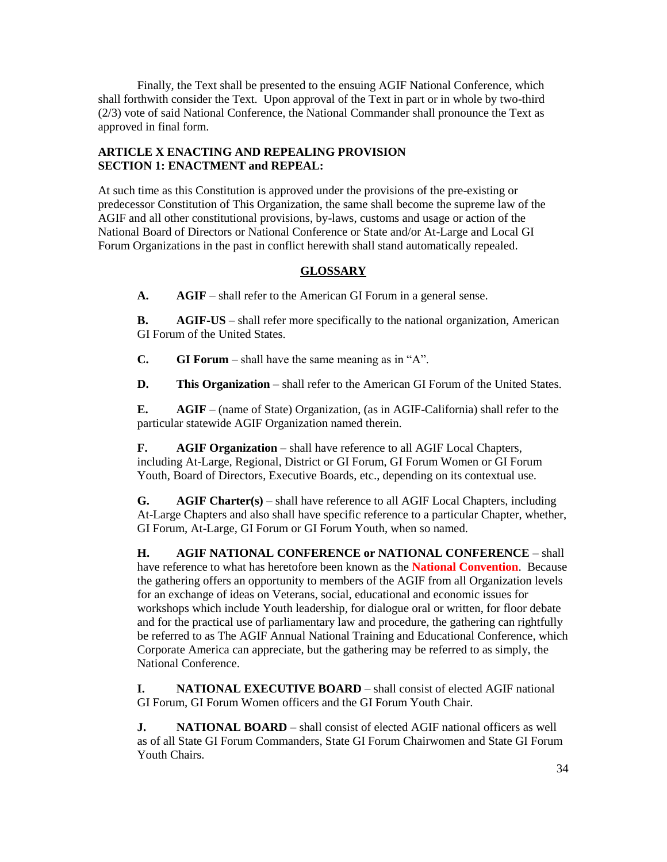Finally, the Text shall be presented to the ensuing AGIF National Conference, which shall forthwith consider the Text. Upon approval of the Text in part or in whole by two-third (2/3) vote of said National Conference, the National Commander shall pronounce the Text as approved in final form.

# **ARTICLE X ENACTING AND REPEALING PROVISION SECTION 1: ENACTMENT and REPEAL:**

At such time as this Constitution is approved under the provisions of the pre-existing or predecessor Constitution of This Organization, the same shall become the supreme law of the AGIF and all other constitutional provisions, by-laws, customs and usage or action of the National Board of Directors or National Conference or State and/or At-Large and Local GI Forum Organizations in the past in conflict herewith shall stand automatically repealed.

# **GLOSSARY**

**A. AGIF** – shall refer to the American GI Forum in a general sense.

**B. AGIF-US** – shall refer more specifically to the national organization, American GI Forum of the United States.

**C. GI Forum** – shall have the same meaning as in "A".

**D. This Organization** – shall refer to the American GI Forum of the United States.

**E. AGIF** – (name of State) Organization, (as in AGIF-California) shall refer to the particular statewide AGIF Organization named therein.

**F. AGIF Organization** – shall have reference to all AGIF Local Chapters, including At-Large, Regional, District or GI Forum, GI Forum Women or GI Forum Youth, Board of Directors, Executive Boards, etc., depending on its contextual use.

**G. AGIF Charter(s)** – shall have reference to all AGIF Local Chapters, including At-Large Chapters and also shall have specific reference to a particular Chapter, whether, GI Forum, At-Large, GI Forum or GI Forum Youth, when so named.

**H. AGIF NATIONAL CONFERENCE or NATIONAL CONFERENCE** – shall have reference to what has heretofore been known as the **National Convention**. Because the gathering offers an opportunity to members of the AGIF from all Organization levels for an exchange of ideas on Veterans, social, educational and economic issues for workshops which include Youth leadership, for dialogue oral or written, for floor debate and for the practical use of parliamentary law and procedure, the gathering can rightfully be referred to as The AGIF Annual National Training and Educational Conference, which Corporate America can appreciate, but the gathering may be referred to as simply, the National Conference.

**I. NATIONAL EXECUTIVE BOARD** – shall consist of elected AGIF national GI Forum, GI Forum Women officers and the GI Forum Youth Chair.

**J. NATIONAL BOARD** – shall consist of elected AGIF national officers as well as of all State GI Forum Commanders, State GI Forum Chairwomen and State GI Forum Youth Chairs.